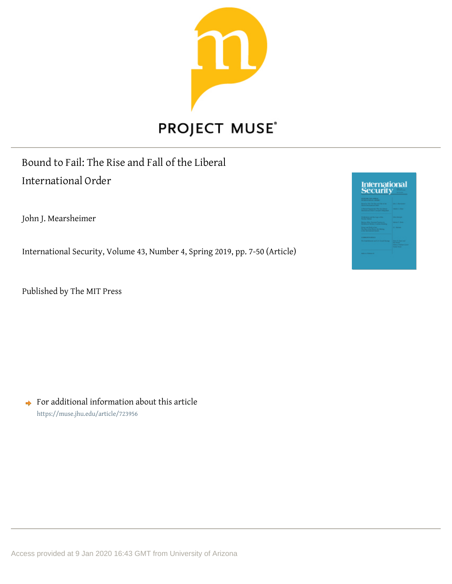

# PROJECT MUSE®

Bound to Fail: The Rise and Fall of the Liberal International Order

John J. Mearsheimer

International Security, Volume 43, Number 4, Spring 2019, pp. 7-50 (Article)

Published by The MIT Press

 $\rightarrow$  For additional information about this article <https://muse.jhu.edu/article/723956>

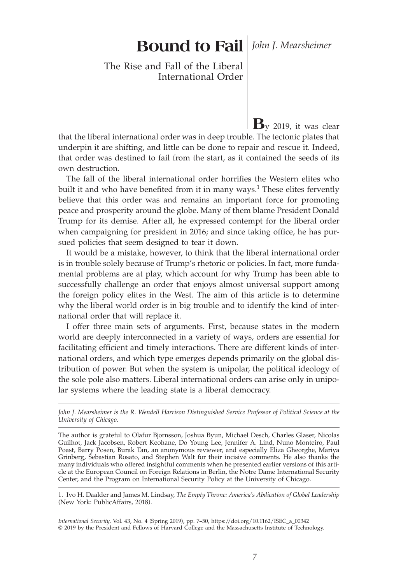# **Bound to Fail** *John J. Mearsheimer*

The Rise and Fall of the Liberal International Order

 $\mathbf{B}_\text{v}$  2019, it was clear that the liberal international order was in deep trouble. The tectonic plates that underpin it are shifting, and little can be done to repair and rescue it. Indeed, that order was destined to fail from the start, as it contained the seeds of its own destruction.

The fall of the liberal international order horrifies the Western elites who built it and who have benefited from it in many ways.<sup>1</sup> These elites fervently believe that this order was and remains an important force for promoting peace and prosperity around the globe. Many of them blame President Donald Trump for its demise. After all, he expressed contempt for the liberal order when campaigning for president in 2016; and since taking office, he has pursued policies that seem designed to tear it down.

It would be a mistake, however, to think that the liberal international order is in trouble solely because of Trump's rhetoric or policies. In fact, more fundamental problems are at play, which account for why Trump has been able to successfully challenge an order that enjoys almost universal support among the foreign policy elites in the West. The aim of this article is to determine why the liberal world order is in big trouble and to identify the kind of international order that will replace it.

I offer three main sets of arguments. First, because states in the modern world are deeply interconnected in a variety of ways, orders are essential for facilitating efficient and timely interactions. There are different kinds of international orders, and which type emerges depends primarily on the global distribution of power. But when the system is unipolar, the political ideology of the sole pole also matters. Liberal international orders can arise only in unipolar systems where the leading state is a liberal democracy.

*John J. Mearsheimer is the R. Wendell Harrison Distinguished Service Professor of Political Science at the University of Chicago*.

The author is grateful to Olafur Bjornsson, Joshua Byun, Michael Desch, Charles Glaser, Nicolas Guilhot, Jack Jacobsen, Robert Keohane, Do Young Lee, Jennifer A. Lind, Nuno Monteiro, Paul Poast, Barry Posen, Burak Tan, an anonymous reviewer, and especially Eliza Gheorghe, Mariya Grinberg, Sebastian Rosato, and Stephen Walt for their incisive comments. He also thanks the many individuals who offered insightful comments when he presented earlier versions of this article at the European Council on Foreign Relations in Berlin, the Notre Dame International Security Center, and the Program on International Security Policy at the University of Chicago.

1. Ivo H. Daalder and James M. Lindsay, *The Empty Throne: America's Abdication of Global Leadership* (New York: PublicAffairs, 2018).

*International Security,* Vol. 43, No. 4 (Spring 2019), pp. 7–50, https://doi.org/10.1162/ISEC\_a\_00342 © 2019 by the President and Fellows of Harvard College and the Massachusetts Institute of Technology.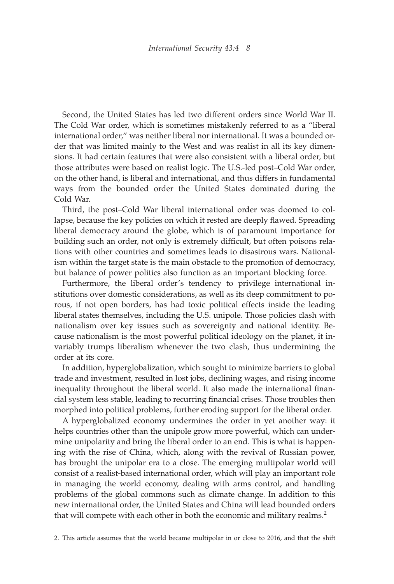Second, the United States has led two different orders since World War II. The Cold War order, which is sometimes mistakenly referred to as a "liberal international order," was neither liberal nor international. It was a bounded order that was limited mainly to the West and was realist in all its key dimensions. It had certain features that were also consistent with a liberal order, but those attributes were based on realist logic. The U.S.-led post–Cold War order, on the other hand, is liberal and international, and thus differs in fundamental ways from the bounded order the United States dominated during the Cold War.

Third, the post–Cold War liberal international order was doomed to collapse, because the key policies on which it rested are deeply flawed. Spreading liberal democracy around the globe, which is of paramount importance for building such an order, not only is extremely difficult, but often poisons relations with other countries and sometimes leads to disastrous wars. Nationalism within the target state is the main obstacle to the promotion of democracy, but balance of power politics also function as an important blocking force.

Furthermore, the liberal order's tendency to privilege international institutions over domestic considerations, as well as its deep commitment to porous, if not open borders, has had toxic political effects inside the leading liberal states themselves, including the U.S. unipole. Those policies clash with nationalism over key issues such as sovereignty and national identity. Because nationalism is the most powerful political ideology on the planet, it invariably trumps liberalism whenever the two clash, thus undermining the order at its core.

In addition, hyperglobalization, which sought to minimize barriers to global trade and investment, resulted in lost jobs, declining wages, and rising income inequality throughout the liberal world. It also made the international financial system less stable, leading to recurring financial crises. Those troubles then morphed into political problems, further eroding support for the liberal order.

A hyperglobalized economy undermines the order in yet another way: it helps countries other than the unipole grow more powerful, which can undermine unipolarity and bring the liberal order to an end. This is what is happening with the rise of China, which, along with the revival of Russian power, has brought the unipolar era to a close. The emerging multipolar world will consist of a realist-based international order, which will play an important role in managing the world economy, dealing with arms control, and handling problems of the global commons such as climate change. In addition to this new international order, the United States and China will lead bounded orders that will compete with each other in both the economic and military realms.<sup>2</sup>

<sup>2.</sup> This article assumes that the world became multipolar in or close to 2016, and that the shift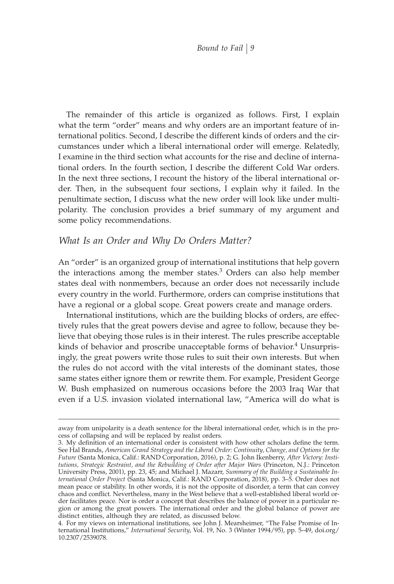The remainder of this article is organized as follows. First, I explain what the term "order" means and why orders are an important feature of international politics. Second, I describe the different kinds of orders and the circumstances under which a liberal international order will emerge. Relatedly, I examine in the third section what accounts for the rise and decline of international orders. In the fourth section, I describe the different Cold War orders. In the next three sections, I recount the history of the liberal international order. Then, in the subsequent four sections, I explain why it failed. In the penultimate section, I discuss what the new order will look like under multipolarity. The conclusion provides a brief summary of my argument and some policy recommendations.

# *What Is an Order and Why Do Orders Matter?*

An "order" is an organized group of international institutions that help govern the interactions among the member states.<sup>3</sup> Orders can also help member states deal with nonmembers, because an order does not necessarily include every country in the world. Furthermore, orders can comprise institutions that have a regional or a global scope. Great powers create and manage orders.

International institutions, which are the building blocks of orders, are effectively rules that the great powers devise and agree to follow, because they believe that obeying those rules is in their interest. The rules prescribe acceptable kinds of behavior and proscribe unacceptable forms of behavior.<sup>4</sup> Unsurprisingly, the great powers write those rules to suit their own interests. But when the rules do not accord with the vital interests of the dominant states, those same states either ignore them or rewrite them. For example, President George W. Bush emphasized on numerous occasions before the 2003 Iraq War that even if a U.S. invasion violated international law, "America will do what is

away from unipolarity is a death sentence for the liberal international order, which is in the process of collapsing and will be replaced by realist orders.

<sup>3.</sup> My definition of an international order is consistent with how other scholars define the term. See Hal Brands, *American Grand Strategy and the Liberal Order: Continuity, Change, and Options for the Future* (Santa Monica, Calif.: RAND Corporation, 2016), p. 2; G. John Ikenberry, *After Victory: Institutions, Strategic Restraint, and the Rebuilding of Order after Major Wars* (Princeton, N.J.: Princeton University Press, 2001), pp. 23, 45; and Michael J. Mazarr, *Summary of the Building a Sustainable International Order Project* (Santa Monica, Calif.: RAND Corporation, 2018), pp. 3–5. Order does not mean peace or stability. In other words, it is not the opposite of disorder, a term that can convey chaos and conflict. Nevertheless, many in the West believe that a well-established liberal world order facilitates peace. Nor is order a concept that describes the balance of power in a particular region or among the great powers. The international order and the global balance of power are distinct entities, although they are related, as discussed below.

<sup>4.</sup> For my views on international institutions, see John J. Mearsheimer, "The False Promise of International Institutions," *International Security*, Vol. 19, No. 3 (Winter 1994/95), pp. 5–49, doi.org/ 10.2307/2539078.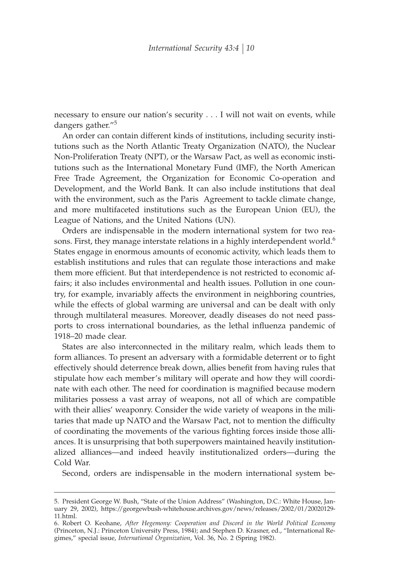necessary to ensure our nation's security...I will not wait on events, while dangers gather."<sup>5</sup>

An order can contain different kinds of institutions, including security institutions such as the North Atlantic Treaty Organization (NATO), the Nuclear Non-Proliferation Treaty (NPT), or the Warsaw Pact, as well as economic institutions such as the International Monetary Fund (IMF), the North American Free Trade Agreement, the Organization for Economic Co-operation and Development, and the World Bank. It can also include institutions that deal with the environment, such as the Paris Agreement to tackle climate change, and more multifaceted institutions such as the European Union (EU), the League of Nations, and the United Nations (UN).

Orders are indispensable in the modern international system for two reasons. First, they manage interstate relations in a highly interdependent world.<sup>6</sup> States engage in enormous amounts of economic activity, which leads them to establish institutions and rules that can regulate those interactions and make them more efficient. But that interdependence is not restricted to economic affairs; it also includes environmental and health issues. Pollution in one country, for example, invariably affects the environment in neighboring countries, while the effects of global warming are universal and can be dealt with only through multilateral measures. Moreover, deadly diseases do not need passports to cross international boundaries, as the lethal influenza pandemic of 1918–20 made clear.

States are also interconnected in the military realm, which leads them to form alliances. To present an adversary with a formidable deterrent or to fight effectively should deterrence break down, allies benefit from having rules that stipulate how each member's military will operate and how they will coordinate with each other. The need for coordination is magnified because modern militaries possess a vast array of weapons, not all of which are compatible with their allies' weaponry. Consider the wide variety of weapons in the militaries that made up NATO and the Warsaw Pact, not to mention the difficulty of coordinating the movements of the various fighting forces inside those alliances. It is unsurprising that both superpowers maintained heavily institutionalized alliances—and indeed heavily institutionalized orders—during the Cold War.

Second, orders are indispensable in the modern international system be-

<sup>5.</sup> President George W. Bush, "State of the Union Address" (Washington, D.C.: White House, January 29, 2002), https://georgewbush-whitehouse.archives.gov/news/releases/2002/01/20020129- 11.html.

<sup>6.</sup> Robert O. Keohane, *After Hegemony: Cooperation and Discord in the World Political Economy* (Princeton, N.J.: Princeton University Press, 1984); and Stephen D. Krasner, ed., "International Regimes," special issue, *International Organization*, Vol. 36, No. 2 (Spring 1982).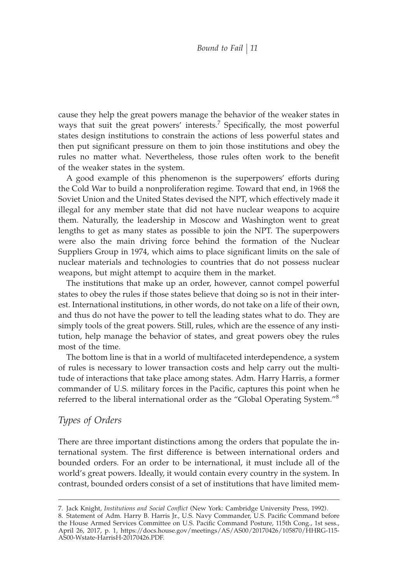cause they help the great powers manage the behavior of the weaker states in ways that suit the great powers' interests.<sup>7</sup> Specifically, the most powerful states design institutions to constrain the actions of less powerful states and then put significant pressure on them to join those institutions and obey the rules no matter what. Nevertheless, those rules often work to the benefit of the weaker states in the system.

A good example of this phenomenon is the superpowers' efforts during the Cold War to build a nonproliferation regime. Toward that end, in 1968 the Soviet Union and the United States devised the NPT, which effectively made it illegal for any member state that did not have nuclear weapons to acquire them. Naturally, the leadership in Moscow and Washington went to great lengths to get as many states as possible to join the NPT. The superpowers were also the main driving force behind the formation of the Nuclear Suppliers Group in 1974, which aims to place significant limits on the sale of nuclear materials and technologies to countries that do not possess nuclear weapons, but might attempt to acquire them in the market.

The institutions that make up an order, however, cannot compel powerful states to obey the rules if those states believe that doing so is not in their interest. International institutions, in other words, do not take on a life of their own, and thus do not have the power to tell the leading states what to do. They are simply tools of the great powers. Still, rules, which are the essence of any institution, help manage the behavior of states, and great powers obey the rules most of the time.

The bottom line is that in a world of multifaceted interdependence, a system of rules is necessary to lower transaction costs and help carry out the multitude of interactions that take place among states. Adm. Harry Harris, a former commander of U.S. military forces in the Pacific, captures this point when he referred to the liberal international order as the "Global Operating System."<sup>8</sup>

# *Types of Orders*

There are three important distinctions among the orders that populate the international system. The first difference is between international orders and bounded orders. For an order to be international, it must include all of the world's great powers. Ideally, it would contain every country in the system. In contrast, bounded orders consist of a set of institutions that have limited mem-

<sup>7.</sup> Jack Knight, *Institutions and Social Conflict* (New York: Cambridge University Press, 1992). 8. Statement of Adm. Harry B. Harris Jr., U.S. Navy Commander, U.S. Pacific Command before the House Armed Services Committee on U.S. Pacific Command Posture, 115th Cong., 1st sess., April 26, 2017, p. 1, https://docs.house.gov/meetings/AS/AS00/20170426/105870/HHRG-115- AS00-Wstate-HarrisH-20170426.PDF.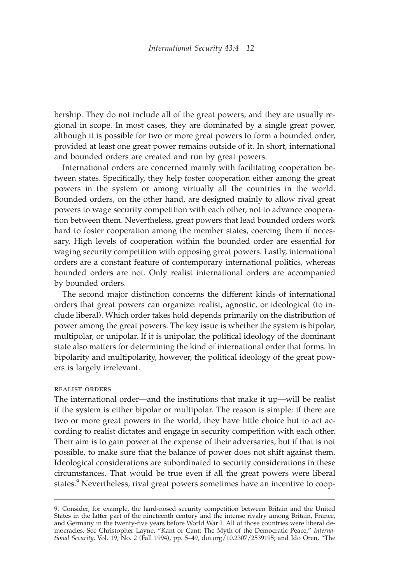bership. They do not include all of the great powers, and they are usually regional in scope. In most cases, they are dominated by a single great power, although it is possible for two or more great powers to form a bounded order, provided at least one great power remains outside of it. In short, international and bounded orders are created and run by great powers.

International orders are concerned mainly with facilitating cooperation between states. Specifically, they help foster cooperation either among the great powers in the system or among virtually all the countries in the world. Bounded orders, on the other hand, are designed mainly to allow rival great powers to wage security competition with each other, not to advance cooperation between them. Nevertheless, great powers that lead bounded orders work hard to foster cooperation among the member states, coercing them if necessary. High levels of cooperation within the bounded order are essential for waging security competition with opposing great powers. Lastly, international orders are a constant feature of contemporary international politics, whereas bounded orders are not. Only realist international orders are accompanied by bounded orders.

The second major distinction concerns the different kinds of international orders that great powers can organize: realist, agnostic, or ideological (to include liberal). Which order takes hold depends primarily on the distribution of power among the great powers. The key issue is whether the system is bipolar, multipolar, or unipolar. If it is unipolar, the political ideology of the dominant state also matters for determining the kind of international order that forms. In bipolarity and multipolarity, however, the political ideology of the great powers is largely irrelevant.

#### realist orders

The international order—and the institutions that make it up—will be realist if the system is either bipolar or multipolar. The reason is simple: if there are two or more great powers in the world, they have little choice but to act according to realist dictates and engage in security competition with each other. Their aim is to gain power at the expense of their adversaries, but if that is not possible, to make sure that the balance of power does not shift against them. Ideological considerations are subordinated to security considerations in these circumstances. That would be true even if all the great powers were liberal states.<sup>9</sup> Nevertheless, rival great powers sometimes have an incentive to coop-

<sup>9.</sup> Consider, for example, the hard-nosed security competition between Britain and the United States in the latter part of the nineteenth century and the intense rivalry among Britain, France, and Germany in the twenty-five years before World War I. All of those countries were liberal democracies. See Christopher Layne, "Kant or Cant: The Myth of the Democratic Peace," *International Security*, Vol. 19, No. 2 (Fall 1994), pp. 5–49, doi.org/10.2307/2539195; and Ido Oren, "The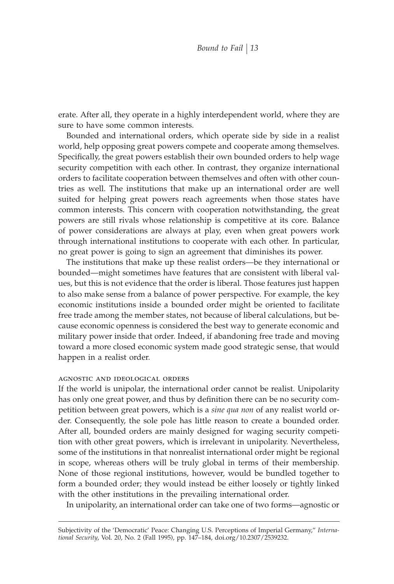erate. After all, they operate in a highly interdependent world, where they are sure to have some common interests.

Bounded and international orders, which operate side by side in a realist world, help opposing great powers compete and cooperate among themselves. Specifically, the great powers establish their own bounded orders to help wage security competition with each other. In contrast, they organize international orders to facilitate cooperation between themselves and often with other countries as well. The institutions that make up an international order are well suited for helping great powers reach agreements when those states have common interests. This concern with cooperation notwithstanding, the great powers are still rivals whose relationship is competitive at its core. Balance of power considerations are always at play, even when great powers work through international institutions to cooperate with each other. In particular, no great power is going to sign an agreement that diminishes its power.

The institutions that make up these realist orders—be they international or bounded—might sometimes have features that are consistent with liberal values, but this is not evidence that the order is liberal. Those features just happen to also make sense from a balance of power perspective. For example, the key economic institutions inside a bounded order might be oriented to facilitate free trade among the member states, not because of liberal calculations, but because economic openness is considered the best way to generate economic and military power inside that order. Indeed, if abandoning free trade and moving toward a more closed economic system made good strategic sense, that would happen in a realist order.

#### agnostic and ideological orders

If the world is unipolar, the international order cannot be realist. Unipolarity has only one great power, and thus by definition there can be no security competition between great powers, which is a *sine qua non* of any realist world order. Consequently, the sole pole has little reason to create a bounded order. After all, bounded orders are mainly designed for waging security competition with other great powers, which is irrelevant in unipolarity. Nevertheless, some of the institutions in that nonrealist international order might be regional in scope, whereas others will be truly global in terms of their membership. None of those regional institutions, however, would be bundled together to form a bounded order; they would instead be either loosely or tightly linked with the other institutions in the prevailing international order.

In unipolarity, an international order can take one of two forms—agnostic or

Subjectivity of the 'Democratic' Peace: Changing U.S. Perceptions of Imperial Germany," *International Security*, Vol. 20, No. 2 (Fall 1995), pp. 147–184, doi.org/10.2307/2539232.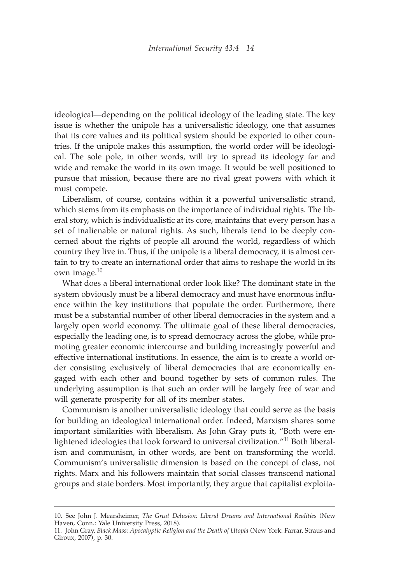ideological—depending on the political ideology of the leading state. The key issue is whether the unipole has a universalistic ideology, one that assumes that its core values and its political system should be exported to other countries. If the unipole makes this assumption, the world order will be ideological. The sole pole, in other words, will try to spread its ideology far and wide and remake the world in its own image. It would be well positioned to pursue that mission, because there are no rival great powers with which it must compete.

Liberalism, of course, contains within it a powerful universalistic strand, which stems from its emphasis on the importance of individual rights. The liberal story, which is individualistic at its core, maintains that every person has a set of inalienable or natural rights. As such, liberals tend to be deeply concerned about the rights of people all around the world, regardless of which country they live in. Thus, if the unipole is a liberal democracy, it is almost certain to try to create an international order that aims to reshape the world in its own image.<sup>10</sup>

What does a liberal international order look like? The dominant state in the system obviously must be a liberal democracy and must have enormous influence within the key institutions that populate the order. Furthermore, there must be a substantial number of other liberal democracies in the system and a largely open world economy. The ultimate goal of these liberal democracies, especially the leading one, is to spread democracy across the globe, while promoting greater economic intercourse and building increasingly powerful and effective international institutions. In essence, the aim is to create a world order consisting exclusively of liberal democracies that are economically engaged with each other and bound together by sets of common rules. The underlying assumption is that such an order will be largely free of war and will generate prosperity for all of its member states.

Communism is another universalistic ideology that could serve as the basis for building an ideological international order. Indeed, Marxism shares some important similarities with liberalism. As John Gray puts it, "Both were enlightened ideologies that look forward to universal civilization."<sup>11</sup> Both liberalism and communism, in other words, are bent on transforming the world. Communism's universalistic dimension is based on the concept of class, not rights. Marx and his followers maintain that social classes transcend national groups and state borders. Most importantly, they argue that capitalist exploita-

<sup>10.</sup> See John J. Mearsheimer, *The Great Delusion: Liberal Dreams and International Realities* (New Haven, Conn.: Yale University Press, 2018).

<sup>11.</sup> John Gray, *Black Mass: Apocalyptic Religion and the Death of Utopia* (New York: Farrar, Straus and Giroux, 2007), p. 30.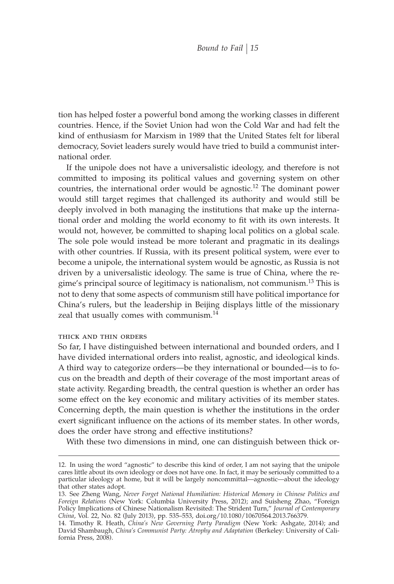tion has helped foster a powerful bond among the working classes in different countries. Hence, if the Soviet Union had won the Cold War and had felt the kind of enthusiasm for Marxism in 1989 that the United States felt for liberal democracy, Soviet leaders surely would have tried to build a communist international order.

If the unipole does not have a universalistic ideology, and therefore is not committed to imposing its political values and governing system on other countries, the international order would be agnostic.<sup>12</sup> The dominant power would still target regimes that challenged its authority and would still be deeply involved in both managing the institutions that make up the international order and molding the world economy to fit with its own interests. It would not, however, be committed to shaping local politics on a global scale. The sole pole would instead be more tolerant and pragmatic in its dealings with other countries. If Russia, with its present political system, were ever to become a unipole, the international system would be agnostic, as Russia is not driven by a universalistic ideology. The same is true of China, where the regime's principal source of legitimacy is nationalism, not communism.<sup>13</sup> This is not to deny that some aspects of communism still have political importance for China's rulers, but the leadership in Beijing displays little of the missionary zeal that usually comes with communism.<sup>14</sup>

#### thick and thin orders

So far, I have distinguished between international and bounded orders, and I have divided international orders into realist, agnostic, and ideological kinds. A third way to categorize orders—be they international or bounded—is to focus on the breadth and depth of their coverage of the most important areas of state activity. Regarding breadth, the central question is whether an order has some effect on the key economic and military activities of its member states. Concerning depth, the main question is whether the institutions in the order exert significant influence on the actions of its member states. In other words, does the order have strong and effective institutions?

With these two dimensions in mind, one can distinguish between thick or-

<sup>12.</sup> In using the word "agnostic" to describe this kind of order, I am not saying that the unipole cares little about its own ideology or does not have one. In fact, it may be seriously committed to a particular ideology at home, but it will be largely noncommittal—agnostic—about the ideology that other states adopt.

<sup>13.</sup> See Zheng Wang, *Never Forget National Humiliation: Historical Memory in Chinese Politics and Foreign Relations* (New York: Columbia University Press, 2012); and Suisheng Zhao, "Foreign Policy Implications of Chinese Nationalism Revisited: The Strident Turn," *Journal of Contemporary China*, Vol. 22, No. 82 (July 2013), pp. 535–553, doi.org/10.1080/10670564.2013.766379.

<sup>14.</sup> Timothy R. Heath, *China's New Governing Party Paradigm* (New York: Ashgate, 2014); and David Shambaugh, *China's Communist Party: Atrophy and Adaptation* (Berkeley: University of California Press, 2008).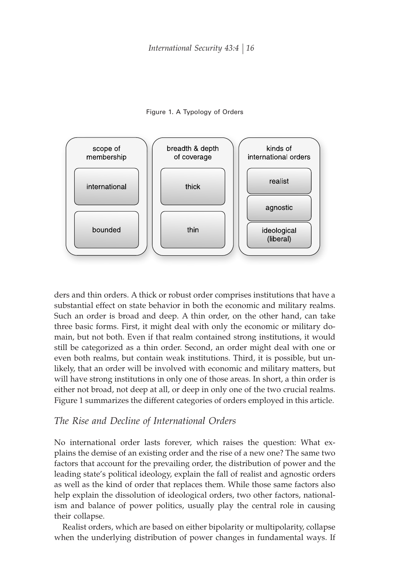



ders and thin orders. A thick or robust order comprises institutions that have a substantial effect on state behavior in both the economic and military realms. Such an order is broad and deep. A thin order, on the other hand, can take three basic forms. First, it might deal with only the economic or military domain, but not both. Even if that realm contained strong institutions, it would still be categorized as a thin order. Second, an order might deal with one or even both realms, but contain weak institutions. Third, it is possible, but unlikely, that an order will be involved with economic and military matters, but will have strong institutions in only one of those areas. In short, a thin order is either not broad, not deep at all, or deep in only one of the two crucial realms. Figure 1 summarizes the different categories of orders employed in this article.

# *The Rise and Decline of International Orders*

No international order lasts forever, which raises the question: What explains the demise of an existing order and the rise of a new one? The same two factors that account for the prevailing order, the distribution of power and the leading state's political ideology, explain the fall of realist and agnostic orders as well as the kind of order that replaces them. While those same factors also help explain the dissolution of ideological orders, two other factors, nationalism and balance of power politics, usually play the central role in causing their collapse.

Realist orders, which are based on either bipolarity or multipolarity, collapse when the underlying distribution of power changes in fundamental ways. If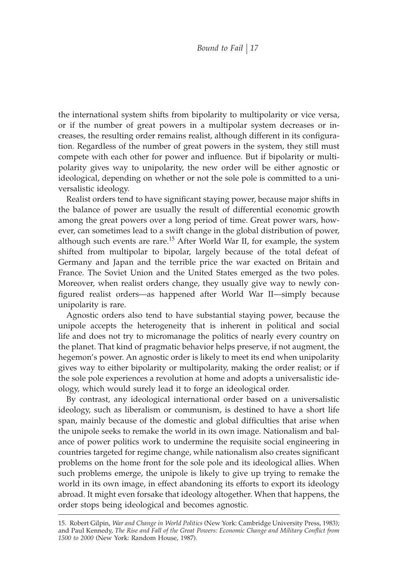the international system shifts from bipolarity to multipolarity or vice versa, or if the number of great powers in a multipolar system decreases or increases, the resulting order remains realist, although different in its configuration. Regardless of the number of great powers in the system, they still must compete with each other for power and influence. But if bipolarity or multipolarity gives way to unipolarity, the new order will be either agnostic or ideological, depending on whether or not the sole pole is committed to a universalistic ideology.

Realist orders tend to have significant staying power, because major shifts in the balance of power are usually the result of differential economic growth among the great powers over a long period of time. Great power wars, however, can sometimes lead to a swift change in the global distribution of power, although such events are rare.<sup>15</sup> After World War II, for example, the system shifted from multipolar to bipolar, largely because of the total defeat of Germany and Japan and the terrible price the war exacted on Britain and France. The Soviet Union and the United States emerged as the two poles. Moreover, when realist orders change, they usually give way to newly configured realist orders—as happened after World War II—simply because unipolarity is rare.

Agnostic orders also tend to have substantial staying power, because the unipole accepts the heterogeneity that is inherent in political and social life and does not try to micromanage the politics of nearly every country on the planet. That kind of pragmatic behavior helps preserve, if not augment, the hegemon's power. An agnostic order is likely to meet its end when unipolarity gives way to either bipolarity or multipolarity, making the order realist; or if the sole pole experiences a revolution at home and adopts a universalistic ideology, which would surely lead it to forge an ideological order.

By contrast, any ideological international order based on a universalistic ideology, such as liberalism or communism, is destined to have a short life span, mainly because of the domestic and global difficulties that arise when the unipole seeks to remake the world in its own image. Nationalism and balance of power politics work to undermine the requisite social engineering in countries targeted for regime change, while nationalism also creates significant problems on the home front for the sole pole and its ideological allies. When such problems emerge, the unipole is likely to give up trying to remake the world in its own image, in effect abandoning its efforts to export its ideology abroad. It might even forsake that ideology altogether. When that happens, the order stops being ideological and becomes agnostic.

<sup>15.</sup> Robert Gilpin, *War and Change in World Politics* (New York: Cambridge University Press, 1983); and Paul Kennedy, *The Rise and Fall of the Great Powers: Economic Change and Military Conflict from 1500 to 2000* (New York: Random House, 1987).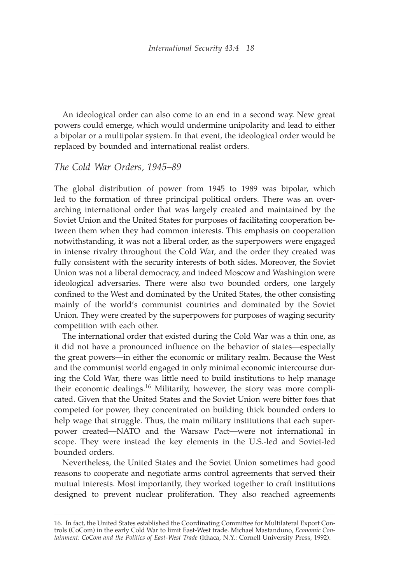An ideological order can also come to an end in a second way. New great powers could emerge, which would undermine unipolarity and lead to either a bipolar or a multipolar system. In that event, the ideological order would be replaced by bounded and international realist orders.

## *The Cold War Orders, 1945–89*

The global distribution of power from 1945 to 1989 was bipolar, which led to the formation of three principal political orders. There was an overarching international order that was largely created and maintained by the Soviet Union and the United States for purposes of facilitating cooperation between them when they had common interests. This emphasis on cooperation notwithstanding, it was not a liberal order, as the superpowers were engaged in intense rivalry throughout the Cold War, and the order they created was fully consistent with the security interests of both sides. Moreover, the Soviet Union was not a liberal democracy, and indeed Moscow and Washington were ideological adversaries. There were also two bounded orders, one largely confined to the West and dominated by the United States, the other consisting mainly of the world's communist countries and dominated by the Soviet Union. They were created by the superpowers for purposes of waging security competition with each other.

The international order that existed during the Cold War was a thin one, as it did not have a pronounced influence on the behavior of states—especially the great powers—in either the economic or military realm. Because the West and the communist world engaged in only minimal economic intercourse during the Cold War, there was little need to build institutions to help manage their economic dealings.<sup>16</sup> Militarily, however, the story was more complicated. Given that the United States and the Soviet Union were bitter foes that competed for power, they concentrated on building thick bounded orders to help wage that struggle. Thus, the main military institutions that each superpower created—NATO and the Warsaw Pact—were not international in scope. They were instead the key elements in the U.S.-led and Soviet-led bounded orders.

Nevertheless, the United States and the Soviet Union sometimes had good reasons to cooperate and negotiate arms control agreements that served their mutual interests. Most importantly, they worked together to craft institutions designed to prevent nuclear proliferation. They also reached agreements

<sup>16.</sup> In fact, the United States established the Coordinating Committee for Multilateral Export Controls (CoCom) in the early Cold War to limit East-West trade. Michael Mastanduno, *Economic Containment: CoCom and the Politics of East-West Trade* (Ithaca, N.Y.: Cornell University Press, 1992).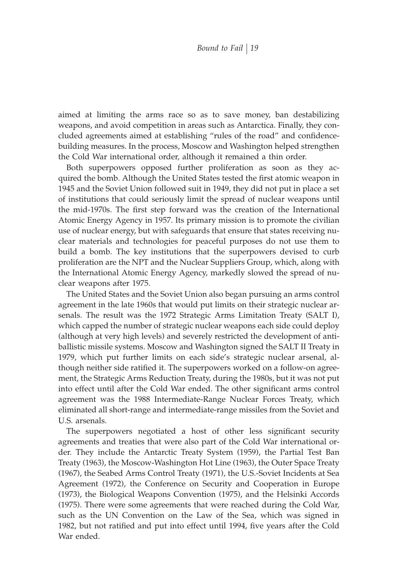aimed at limiting the arms race so as to save money, ban destabilizing weapons, and avoid competition in areas such as Antarctica. Finally, they concluded agreements aimed at establishing "rules of the road" and confidencebuilding measures. In the process, Moscow and Washington helped strengthen the Cold War international order, although it remained a thin order.

Both superpowers opposed further proliferation as soon as they acquired the bomb. Although the United States tested the first atomic weapon in 1945 and the Soviet Union followed suit in 1949, they did not put in place a set of institutions that could seriously limit the spread of nuclear weapons until the mid-1970s. The first step forward was the creation of the International Atomic Energy Agency in 1957. Its primary mission is to promote the civilian use of nuclear energy, but with safeguards that ensure that states receiving nuclear materials and technologies for peaceful purposes do not use them to build a bomb. The key institutions that the superpowers devised to curb proliferation are the NPT and the Nuclear Suppliers Group, which, along with the International Atomic Energy Agency, markedly slowed the spread of nuclear weapons after 1975.

The United States and the Soviet Union also began pursuing an arms control agreement in the late 1960s that would put limits on their strategic nuclear arsenals. The result was the 1972 Strategic Arms Limitation Treaty (SALT I), which capped the number of strategic nuclear weapons each side could deploy (although at very high levels) and severely restricted the development of antiballistic missile systems. Moscow and Washington signed the SALT II Treaty in 1979, which put further limits on each side's strategic nuclear arsenal, although neither side ratified it. The superpowers worked on a follow-on agreement, the Strategic Arms Reduction Treaty, during the 1980s, but it was not put into effect until after the Cold War ended. The other significant arms control agreement was the 1988 Intermediate-Range Nuclear Forces Treaty, which eliminated all short-range and intermediate-range missiles from the Soviet and U.S. arsenals.

The superpowers negotiated a host of other less significant security agreements and treaties that were also part of the Cold War international order. They include the Antarctic Treaty System (1959), the Partial Test Ban Treaty (1963), the Moscow-Washington Hot Line (1963), the Outer Space Treaty (1967), the Seabed Arms Control Treaty (1971), the U.S.-Soviet Incidents at Sea Agreement (1972), the Conference on Security and Cooperation in Europe (1973), the Biological Weapons Convention (1975), and the Helsinki Accords (1975). There were some agreements that were reached during the Cold War, such as the UN Convention on the Law of the Sea, which was signed in 1982, but not ratified and put into effect until 1994, five years after the Cold War ended.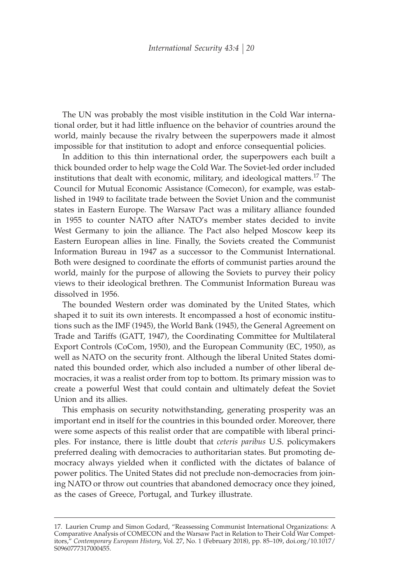The UN was probably the most visible institution in the Cold War international order, but it had little influence on the behavior of countries around the world, mainly because the rivalry between the superpowers made it almost impossible for that institution to adopt and enforce consequential policies.

In addition to this thin international order, the superpowers each built a thick bounded order to help wage the Cold War. The Soviet-led order included institutions that dealt with economic, military, and ideological matters.<sup>17</sup> The Council for Mutual Economic Assistance (Comecon), for example, was established in 1949 to facilitate trade between the Soviet Union and the communist states in Eastern Europe. The Warsaw Pact was a military alliance founded in 1955 to counter NATO after NATO's member states decided to invite West Germany to join the alliance. The Pact also helped Moscow keep its Eastern European allies in line. Finally, the Soviets created the Communist Information Bureau in 1947 as a successor to the Communist International. Both were designed to coordinate the efforts of communist parties around the world, mainly for the purpose of allowing the Soviets to purvey their policy views to their ideological brethren. The Communist Information Bureau was dissolved in 1956.

The bounded Western order was dominated by the United States, which shaped it to suit its own interests. It encompassed a host of economic institutions such as the IMF (1945), the World Bank (1945), the General Agreement on Trade and Tariffs (GATT, 1947), the Coordinating Committee for Multilateral Export Controls (CoCom, 1950), and the European Community (EC, 1950), as well as NATO on the security front. Although the liberal United States dominated this bounded order, which also included a number of other liberal democracies, it was a realist order from top to bottom. Its primary mission was to create a powerful West that could contain and ultimately defeat the Soviet Union and its allies.

This emphasis on security notwithstanding, generating prosperity was an important end in itself for the countries in this bounded order. Moreover, there were some aspects of this realist order that are compatible with liberal principles. For instance, there is little doubt that *ceteris paribus* U.S. policymakers preferred dealing with democracies to authoritarian states. But promoting democracy always yielded when it conflicted with the dictates of balance of power politics. The United States did not preclude non-democracies from joining NATO or throw out countries that abandoned democracy once they joined, as the cases of Greece, Portugal, and Turkey illustrate.

<sup>17.</sup> Laurien Crump and Simon Godard, "Reassessing Communist International Organizations: A Comparative Analysis of COMECON and the Warsaw Pact in Relation to Their Cold War Competitors," *Contemporary European History*, Vol. 27, No. 1 (February 2018), pp. 85–109, doi.org/10.1017/ S0960777317000455.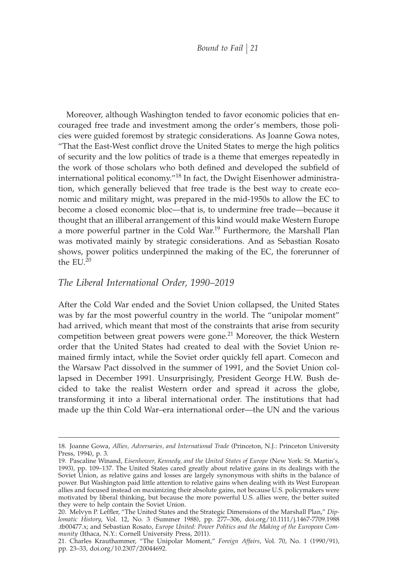Moreover, although Washington tended to favor economic policies that encouraged free trade and investment among the order's members, those policies were guided foremost by strategic considerations. As Joanne Gowa notes, "That the East-West conflict drove the United States to merge the high politics of security and the low politics of trade is a theme that emerges repeatedly in the work of those scholars who both defined and developed the subfield of international political economy."<sup>18</sup> In fact, the Dwight Eisenhower administration, which generally believed that free trade is the best way to create economic and military might, was prepared in the mid-1950s to allow the EC to become a closed economic bloc—that is, to undermine free trade—because it thought that an illiberal arrangement of this kind would make Western Europe a more powerful partner in the Cold War.<sup>19</sup> Furthermore, the Marshall Plan was motivated mainly by strategic considerations. And as Sebastian Rosato shows, power politics underpinned the making of the EC, the forerunner of the EU.<sup>20</sup>

## *The Liberal International Order, 1990–2019*

After the Cold War ended and the Soviet Union collapsed, the United States was by far the most powerful country in the world. The "unipolar moment" had arrived, which meant that most of the constraints that arise from security competition between great powers were gone. $^{21}$  Moreover, the thick Western order that the United States had created to deal with the Soviet Union remained firmly intact, while the Soviet order quickly fell apart. Comecon and the Warsaw Pact dissolved in the summer of 1991, and the Soviet Union collapsed in December 1991. Unsurprisingly, President George H.W. Bush decided to take the realist Western order and spread it across the globe, transforming it into a liberal international order. The institutions that had made up the thin Cold War–era international order—the UN and the various

<sup>18.</sup> Joanne Gowa, *Allies, Adversaries, and International Trade* (Princeton, N.J.: Princeton University Press, 1994), p. 3.

<sup>19.</sup> Pascaline Winand, *Eisenhower, Kennedy, and the United States of Europe* (New York: St. Martin's, 1993), pp. 109–137. The United States cared greatly about relative gains in its dealings with the Soviet Union, as relative gains and losses are largely synonymous with shifts in the balance of power. But Washington paid little attention to relative gains when dealing with its West European allies and focused instead on maximizing their absolute gains, not because U.S. policymakers were motivated by liberal thinking, but because the more powerful U.S. allies were, the better suited they were to help contain the Soviet Union.

<sup>20.</sup> Melvyn P. Leffler, "The United States and the Strategic Dimensions of the Marshall Plan," *Diplomatic History*, Vol. 12, No. 3 (Summer 1988), pp. 277–306, doi.org/10.1111/j.1467-7709.1988 .tb00477.x; and Sebastian Rosato, *Europe United: Power Politics and the Making of the European Community* (Ithaca, N.Y.: Cornell University Press, 2011).

<sup>21.</sup> Charles Krauthammer, "The Unipolar Moment," *Foreign Affairs*, Vol. 70, No. 1 (1990/91), pp. 23–33, doi.org/10.2307/20044692.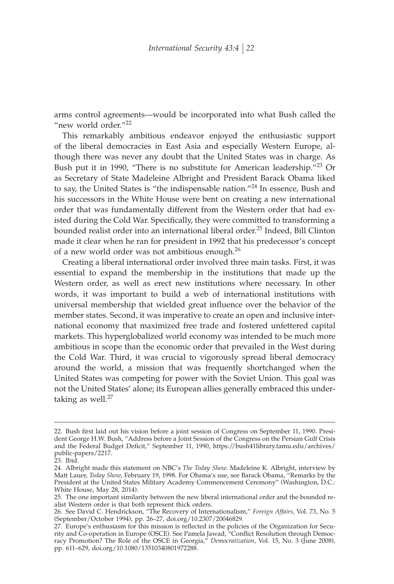arms control agreements—would be incorporated into what Bush called the "new world order."<sup>22</sup>

This remarkably ambitious endeavor enjoyed the enthusiastic support of the liberal democracies in East Asia and especially Western Europe, although there was never any doubt that the United States was in charge. As Bush put it in 1990, "There is no substitute for American leadership."<sup>23</sup> Or as Secretary of State Madeleine Albright and President Barack Obama liked to say, the United States is "the indispensable nation."<sup>24</sup> In essence, Bush and his successors in the White House were bent on creating a new international order that was fundamentally different from the Western order that had existed during the Cold War. Specifically, they were committed to transforming a bounded realist order into an international liberal order.<sup>25</sup> Indeed, Bill Clinton made it clear when he ran for president in 1992 that his predecessor's concept of a new world order was not ambitious enough.<sup>26</sup>

Creating a liberal international order involved three main tasks. First, it was essential to expand the membership in the institutions that made up the Western order, as well as erect new institutions where necessary. In other words, it was important to build a web of international institutions with universal membership that wielded great influence over the behavior of the member states. Second, it was imperative to create an open and inclusive international economy that maximized free trade and fostered unfettered capital markets. This hyperglobalized world economy was intended to be much more ambitious in scope than the economic order that prevailed in the West during the Cold War. Third, it was crucial to vigorously spread liberal democracy around the world, a mission that was frequently shortchanged when the United States was competing for power with the Soviet Union. This goal was not the United States' alone; its European allies generally embraced this undertaking as well. $27$ 

<sup>22.</sup> Bush first laid out his vision before a joint session of Congress on September 11, 1990. President George H.W. Bush, "Address before a Joint Session of the Congress on the Persian Gulf Crisis and the Federal Budget Deficit," September 11, 1990, https://bush41library.tamu.edu/archives/ public-papers/2217.

<sup>23.</sup> Ibid.

<sup>24.</sup> Albright made this statement on NBC's *The Today Show*. Madeleine K. Albright, interview by Matt Lauer, *Today Show*, February 19, 1998. For Obama's use, see Barack Obama, "Remarks by the President at the United States Military Academy Commencement Ceremony" (Washington, D.C.: White House, May 28, 2014).

<sup>25.</sup> The one important similarity between the new liberal international order and the bounded realist Western order is that both represent thick orders.

<sup>26.</sup> See David C. Hendrickson, "The Recovery of Internationalism," *Foreign Affairs*, Vol. 73, No. 5 (September/October 1994), pp. 26–27, doi.org/10.2307/20046829.

<sup>27.</sup> Europe's enthusiasm for this mission is reflected in the policies of the Organization for Security and Co-operation in Europe (OSCE). See Pamela Jawad, "Conflict Resolution through Democracy Promotion? The Role of the OSCE in Georgia," *Democratization*, Vol. 15, No. 3 (June 2008), pp. 611–629, doi.org/10.1080/13510340801972288.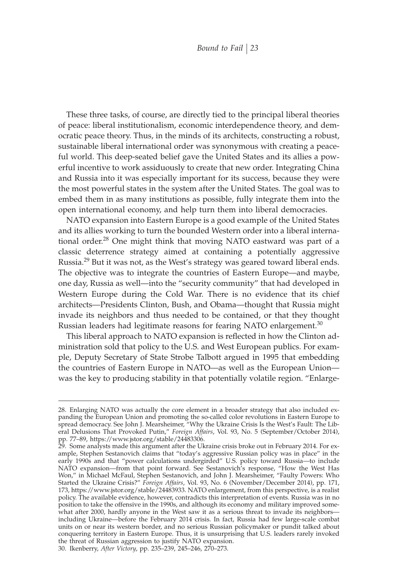These three tasks, of course, are directly tied to the principal liberal theories of peace: liberal institutionalism, economic interdependence theory, and democratic peace theory. Thus, in the minds of its architects, constructing a robust, sustainable liberal international order was synonymous with creating a peaceful world. This deep-seated belief gave the United States and its allies a powerful incentive to work assiduously to create that new order. Integrating China and Russia into it was especially important for its success, because they were the most powerful states in the system after the United States. The goal was to embed them in as many institutions as possible, fully integrate them into the open international economy, and help turn them into liberal democracies.

NATO expansion into Eastern Europe is a good example of the United States and its allies working to turn the bounded Western order into a liberal international order.<sup>28</sup> One might think that moving NATO eastward was part of a classic deterrence strategy aimed at containing a potentially aggressive Russia.<sup>29</sup> But it was not, as the West's strategy was geared toward liberal ends. The objective was to integrate the countries of Eastern Europe—and maybe, one day, Russia as well—into the "security community" that had developed in Western Europe during the Cold War. There is no evidence that its chief architects—Presidents Clinton, Bush, and Obama—thought that Russia might invade its neighbors and thus needed to be contained, or that they thought Russian leaders had legitimate reasons for fearing NATO enlargement.<sup>30</sup>

This liberal approach to NATO expansion is reflected in how the Clinton administration sold that policy to the U.S. and West European publics. For example, Deputy Secretary of State Strobe Talbott argued in 1995 that embedding the countries of Eastern Europe in NATO—as well as the European Union was the key to producing stability in that potentially volatile region. "Enlarge-

<sup>28.</sup> Enlarging NATO was actually the core element in a broader strategy that also included expanding the European Union and promoting the so-called color revolutions in Eastern Europe to spread democracy. See John J. Mearsheimer, "Why the Ukraine Crisis Is the West's Fault: The Liberal Delusions That Provoked Putin," *Foreign Affairs*, Vol. 93, No. 5 (September/October 2014), pp. 77–89, https://www.jstor.org/stable/24483306.

<sup>29.</sup> Some analysts made this argument after the Ukraine crisis broke out in February 2014. For example, Stephen Sestanovich claims that "today's aggressive Russian policy was in place" in the early 1990s and that "power calculations undergirded" U.S. policy toward Russia—to include NATO expansion—from that point forward. See Sestanovich's response, "How the West Has Won," in Michael McFaul, Stephen Sestanovich, and John J. Mearsheimer, "Faulty Powers: Who Started the Ukraine Crisis?" *Foreign Affairs*, Vol. 93, No. 6 (November/December 2014), pp. 171, 173, https://www.jstor.org/stable/24483933. NATO enlargement, from this perspective, is a realist policy. The available evidence, however, contradicts this interpretation of events. Russia was in no position to take the offensive in the 1990s, and although its economy and military improved somewhat after 2000, hardly anyone in the West saw it as a serious threat to invade its neighbors including Ukraine—before the February 2014 crisis. In fact, Russia had few large-scale combat units on or near its western border, and no serious Russian policymaker or pundit talked about conquering territory in Eastern Europe. Thus, it is unsurprising that U.S. leaders rarely invoked the threat of Russian aggression to justify NATO expansion.

<sup>30.</sup> Ikenberry, *After Victory*, pp. 235–239, 245–246, 270–273.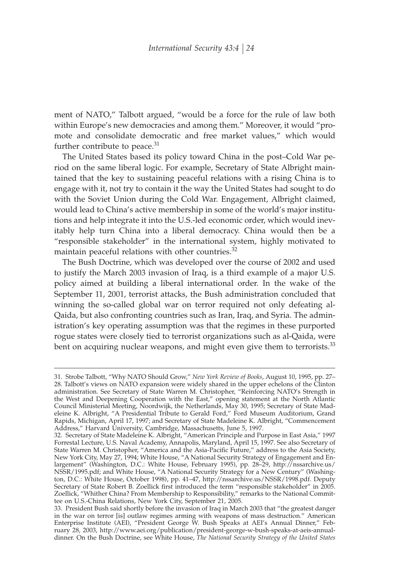ment of NATO," Talbott argued, "would be a force for the rule of law both within Europe's new democracies and among them." Moreover, it would "promote and consolidate democratic and free market values," which would further contribute to peace. $31$ 

The United States based its policy toward China in the post–Cold War period on the same liberal logic. For example, Secretary of State Albright maintained that the key to sustaining peaceful relations with a rising China is to engage with it, not try to contain it the way the United States had sought to do with the Soviet Union during the Cold War. Engagement, Albright claimed, would lead to China's active membership in some of the world's major institutions and help integrate it into the U.S.-led economic order, which would inevitably help turn China into a liberal democracy. China would then be a "responsible stakeholder" in the international system, highly motivated to maintain peaceful relations with other countries.<sup>32</sup>

The Bush Doctrine, which was developed over the course of 2002 and used to justify the March 2003 invasion of Iraq, is a third example of a major U.S. policy aimed at building a liberal international order. In the wake of the September 11, 2001, terrorist attacks, the Bush administration concluded that winning the so-called global war on terror required not only defeating al-Qaida, but also confronting countries such as Iran, Iraq, and Syria. The administration's key operating assumption was that the regimes in these purported rogue states were closely tied to terrorist organizations such as al-Qaida, were bent on acquiring nuclear weapons, and might even give them to terrorists. $33$ 

<sup>31.</sup> Strobe Talbott, "Why NATO Should Grow," *New York Review of Books*, August 10, 1995, pp. 27– 28. Talbott's views on NATO expansion were widely shared in the upper echelons of the Clinton administration. See Secretary of State Warren M. Christopher, "Reinforcing NATO's Strength in the West and Deepening Cooperation with the East," opening statement at the North Atlantic Council Ministerial Meeting, Noordwijk, the Netherlands, May 30, 1995; Secretary of State Madeleine K. Albright, "A Presidential Tribute to Gerald Ford," Ford Museum Auditorium, Grand Rapids, Michigan, April 17, 1997; and Secretary of State Madeleine K. Albright, "Commencement Address," Harvard University, Cambridge, Massachusetts, June 5, 1997.

<sup>32.</sup> Secretary of State Madeleine K. Albright, "American Principle and Purpose in East Asia," 1997 Forrestal Lecture, U.S. Naval Academy, Annapolis, Maryland, April 15, 1997. See also Secretary of State Warren M. Christopher, "America and the Asia-Pacific Future," address to the Asia Society, New York City, May 27, 1994; White House, "A National Security Strategy of Engagement and Enlargement" (Washington, D.C.: White House, February 1995), pp. 28–29, http://nssarchive.us/ NSSR/1995.pdf; and White House, "A National Security Strategy for a New Century" (Washington, D.C.: White House, October 1998), pp. 41–47, http://nssarchive.us/NSSR/1998.pdf. Deputy Secretary of State Robert B. Zoellick first introduced the term "responsible stakeholder" in 2005. Zoellick, "Whither China? From Membership to Responsibility," remarks to the National Committee on U.S.-China Relations, New York City, September 21, 2005.

<sup>33.</sup> President Bush said shortly before the invasion of Iraq in March 2003 that "the greatest danger in the war on terror [is] outlaw regimes arming with weapons of mass destruction." American Enterprise Institute (AEI), "President George W. Bush Speaks at AEI's Annual Dinner," February 28, 2003, http://www.aei.org/publication/president-george-w-bush-speaks-at-aeis-annualdinner. On the Bush Doctrine, see White House, *The National Security Strategy of the United States*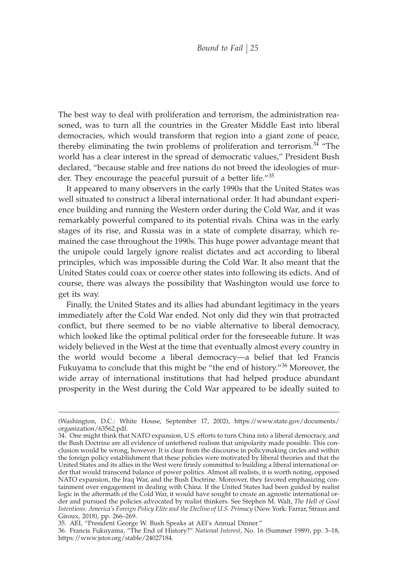The best way to deal with proliferation and terrorism, the administration reasoned, was to turn all the countries in the Greater Middle East into liberal democracies, which would transform that region into a giant zone of peace, thereby eliminating the twin problems of proliferation and terrorism.<sup>34</sup> "The world has a clear interest in the spread of democratic values," President Bush declared, "because stable and free nations do not breed the ideologies of murder. They encourage the peaceful pursuit of a better life."<sup>35</sup>

It appeared to many observers in the early 1990s that the United States was well situated to construct a liberal international order. It had abundant experience building and running the Western order during the Cold War, and it was remarkably powerful compared to its potential rivals. China was in the early stages of its rise, and Russia was in a state of complete disarray, which remained the case throughout the 1990s. This huge power advantage meant that the unipole could largely ignore realist dictates and act according to liberal principles, which was impossible during the Cold War. It also meant that the United States could coax or coerce other states into following its edicts. And of course, there was always the possibility that Washington would use force to get its way.

Finally, the United States and its allies had abundant legitimacy in the years immediately after the Cold War ended. Not only did they win that protracted conflict, but there seemed to be no viable alternative to liberal democracy, which looked like the optimal political order for the foreseeable future. It was widely believed in the West at the time that eventually almost every country in the world would become a liberal democracy—a belief that led Francis Fukuyama to conclude that this might be "the end of history."<sup>36</sup> Moreover, the wide array of international institutions that had helped produce abundant prosperity in the West during the Cold War appeared to be ideally suited to

<sup>(</sup>Washington, D.C.: White House, September 17, 2002), https://www.state.gov/documents/ organization/63562.pdf.

<sup>34.</sup> One might think that NATO expansion, U.S. efforts to turn China into a liberal democracy, and the Bush Doctrine are all evidence of untethered realism that unipolarity made possible. This conclusion would be wrong, however. It is clear from the discourse in policymaking circles and within the foreign policy establishment that these policies were motivated by liberal theories and that the United States and its allies in the West were firmly committed to building a liberal international order that would transcend balance of power politics. Almost all realists, it is worth noting, opposed NATO expansion, the Iraq War, and the Bush Doctrine. Moreover, they favored emphasizing containment over engagement in dealing with China. If the United States had been guided by realist logic in the aftermath of the Cold War, it would have sought to create an agnostic international order and pursued the policies advocated by realist thinkers. See Stephen M. Walt, *The Hell of Good Intentions: America's Foreign Policy Elite and the Decline of U.S. Primacy* (New York: Farrar, Straus and Giroux, 2018), pp. 266–269.

<sup>35.</sup> AEI, "President George W. Bush Speaks at AEI's Annual Dinner."

<sup>36.</sup> Francis Fukuyama, "The End of History?" *National Interest*, No. 16 (Summer 1989), pp. 3–18, https://www.jstor.org/stable/24027184.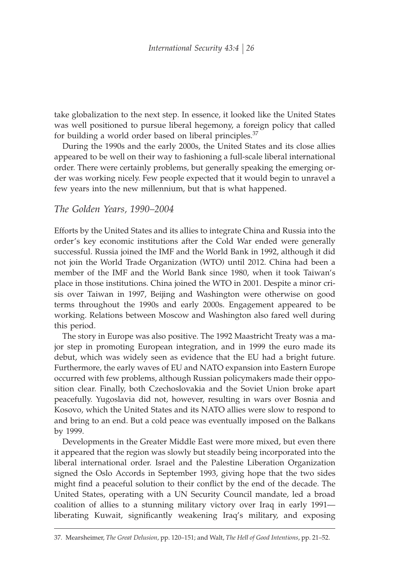take globalization to the next step. In essence, it looked like the United States was well positioned to pursue liberal hegemony, a foreign policy that called for building a world order based on liberal principles. $37$ 

During the 1990s and the early 2000s, the United States and its close allies appeared to be well on their way to fashioning a full-scale liberal international order. There were certainly problems, but generally speaking the emerging order was working nicely. Few people expected that it would begin to unravel a few years into the new millennium, but that is what happened.

# *The Golden Years, 1990–2004*

Efforts by the United States and its allies to integrate China and Russia into the order's key economic institutions after the Cold War ended were generally successful. Russia joined the IMF and the World Bank in 1992, although it did not join the World Trade Organization (WTO) until 2012. China had been a member of the IMF and the World Bank since 1980, when it took Taiwan's place in those institutions. China joined the WTO in 2001. Despite a minor crisis over Taiwan in 1997, Beijing and Washington were otherwise on good terms throughout the 1990s and early 2000s. Engagement appeared to be working. Relations between Moscow and Washington also fared well during this period.

The story in Europe was also positive. The 1992 Maastricht Treaty was a major step in promoting European integration, and in 1999 the euro made its debut, which was widely seen as evidence that the EU had a bright future. Furthermore, the early waves of EU and NATO expansion into Eastern Europe occurred with few problems, although Russian policymakers made their opposition clear. Finally, both Czechoslovakia and the Soviet Union broke apart peacefully. Yugoslavia did not, however, resulting in wars over Bosnia and Kosovo, which the United States and its NATO allies were slow to respond to and bring to an end. But a cold peace was eventually imposed on the Balkans by 1999.

Developments in the Greater Middle East were more mixed, but even there it appeared that the region was slowly but steadily being incorporated into the liberal international order. Israel and the Palestine Liberation Organization signed the Oslo Accords in September 1993, giving hope that the two sides might find a peaceful solution to their conflict by the end of the decade. The United States, operating with a UN Security Council mandate, led a broad coalition of allies to a stunning military victory over Iraq in early 1991 liberating Kuwait, significantly weakening Iraq's military, and exposing

<sup>37.</sup> Mearsheimer, *The Great Delusion*, pp. 120–151; and Walt, *The Hell of Good Intentions*, pp. 21–52.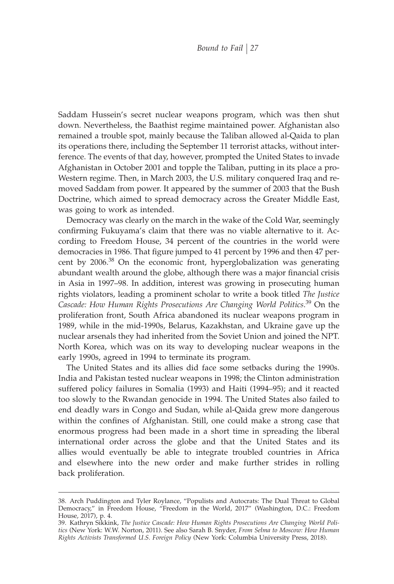Saddam Hussein's secret nuclear weapons program, which was then shut down. Nevertheless, the Baathist regime maintained power. Afghanistan also remained a trouble spot, mainly because the Taliban allowed al-Qaida to plan its operations there, including the September 11 terrorist attacks, without interference. The events of that day, however, prompted the United States to invade Afghanistan in October 2001 and topple the Taliban, putting in its place a pro-Western regime. Then, in March 2003, the U.S. military conquered Iraq and removed Saddam from power. It appeared by the summer of 2003 that the Bush Doctrine, which aimed to spread democracy across the Greater Middle East, was going to work as intended.

Democracy was clearly on the march in the wake of the Cold War, seemingly confirming Fukuyama's claim that there was no viable alternative to it. According to Freedom House, 34 percent of the countries in the world were democracies in 1986. That figure jumped to 41 percent by 1996 and then 47 percent by 2006.<sup>38</sup> On the economic front, hyperglobalization was generating abundant wealth around the globe, although there was a major financial crisis in Asia in 1997–98. In addition, interest was growing in prosecuting human rights violators, leading a prominent scholar to write a book titled *The Justice Cascade: How Human Rights Prosecutions Are Changing World Politics*. <sup>39</sup> On the proliferation front, South Africa abandoned its nuclear weapons program in 1989, while in the mid-1990s, Belarus, Kazakhstan, and Ukraine gave up the nuclear arsenals they had inherited from the Soviet Union and joined the NPT. North Korea, which was on its way to developing nuclear weapons in the early 1990s, agreed in 1994 to terminate its program.

The United States and its allies did face some setbacks during the 1990s. India and Pakistan tested nuclear weapons in 1998; the Clinton administration suffered policy failures in Somalia (1993) and Haiti (1994–95); and it reacted too slowly to the Rwandan genocide in 1994. The United States also failed to end deadly wars in Congo and Sudan, while al-Qaida grew more dangerous within the confines of Afghanistan. Still, one could make a strong case that enormous progress had been made in a short time in spreading the liberal international order across the globe and that the United States and its allies would eventually be able to integrate troubled countries in Africa and elsewhere into the new order and make further strides in rolling back proliferation.

<sup>38.</sup> Arch Puddington and Tyler Roylance, "Populists and Autocrats: The Dual Threat to Global Democracy," in Freedom House, "Freedom in the World, 2017" (Washington, D.C.: Freedom House, 2017), p. 4.

<sup>39.</sup> Kathryn Sikkink, *The Justice Cascade: How Human Rights Prosecutions Are Changing World Politics* (New York: W.W. Norton, 2011). See also Sarah B. Snyder, *From Selma to Moscow: How Human Rights Activists Transformed U.S. Foreign Policy* (New York: Columbia University Press, 2018).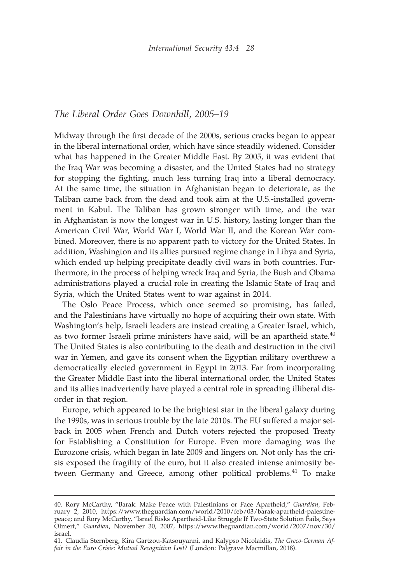# *The Liberal Order Goes Downhill, 2005–19*

Midway through the first decade of the 2000s, serious cracks began to appear in the liberal international order, which have since steadily widened. Consider what has happened in the Greater Middle East. By 2005, it was evident that the Iraq War was becoming a disaster, and the United States had no strategy for stopping the fighting, much less turning Iraq into a liberal democracy. At the same time, the situation in Afghanistan began to deteriorate, as the Taliban came back from the dead and took aim at the U.S.-installed government in Kabul. The Taliban has grown stronger with time, and the war in Afghanistan is now the longest war in U.S. history, lasting longer than the American Civil War, World War I, World War II, and the Korean War combined. Moreover, there is no apparent path to victory for the United States. In addition, Washington and its allies pursued regime change in Libya and Syria, which ended up helping precipitate deadly civil wars in both countries. Furthermore, in the process of helping wreck Iraq and Syria, the Bush and Obama administrations played a crucial role in creating the Islamic State of Iraq and Syria, which the United States went to war against in 2014.

The Oslo Peace Process, which once seemed so promising, has failed, and the Palestinians have virtually no hope of acquiring their own state. With Washington's help, Israeli leaders are instead creating a Greater Israel, which, as two former Israeli prime ministers have said, will be an apartheid state. $40$ The United States is also contributing to the death and destruction in the civil war in Yemen, and gave its consent when the Egyptian military overthrew a democratically elected government in Egypt in 2013. Far from incorporating the Greater Middle East into the liberal international order, the United States and its allies inadvertently have played a central role in spreading illiberal disorder in that region.

Europe, which appeared to be the brightest star in the liberal galaxy during the 1990s, was in serious trouble by the late 2010s. The EU suffered a major setback in 2005 when French and Dutch voters rejected the proposed Treaty for Establishing a Constitution for Europe. Even more damaging was the Eurozone crisis, which began in late 2009 and lingers on. Not only has the crisis exposed the fragility of the euro, but it also created intense animosity between Germany and Greece, among other political problems.<sup>41</sup> To make

<sup>40.</sup> Rory McCarthy, "Barak: Make Peace with Palestinians or Face Apartheid," *Guardian*, February 2, 2010, https://www.theguardian.com/world/2010/feb/03/barak-apartheid-palestinepeace; and Rory McCarthy, "Israel Risks Apartheid-Like Struggle If Two-State Solution Fails, Says Olmert," *Guardian*, November 30, 2007, https://www.theguardian.com/world/2007/nov/30/ israel.

<sup>41.</sup> Claudia Sternberg, Kira Gartzou-Katsouyanni, and Kalypso Nicolaidis, *The Greco-German Affair in the Euro Crisis: Mutual Recognition Lost*? (London: Palgrave Macmillan, 2018).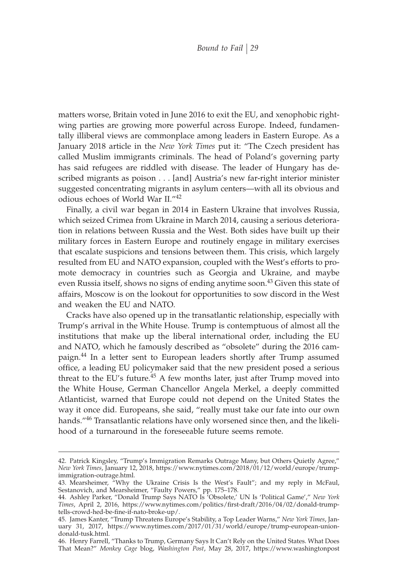matters worse, Britain voted in June 2016 to exit the EU, and xenophobic rightwing parties are growing more powerful across Europe. Indeed, fundamentally illiberal views are commonplace among leaders in Eastern Europe. As a January 2018 article in the *New York Times* put it: "The Czech president has called Muslim immigrants criminals. The head of Poland's governing party has said refugees are riddled with disease. The leader of Hungary has described migrants as poison... [and] Austria's new far-right interior minister suggested concentrating migrants in asylum centers—with all its obvious and odious echoes of World War II."<sup>42</sup>

Finally, a civil war began in 2014 in Eastern Ukraine that involves Russia, which seized Crimea from Ukraine in March 2014, causing a serious deterioration in relations between Russia and the West. Both sides have built up their military forces in Eastern Europe and routinely engage in military exercises that escalate suspicions and tensions between them. This crisis, which largely resulted from EU and NATO expansion, coupled with the West's efforts to promote democracy in countries such as Georgia and Ukraine, and maybe even Russia itself, shows no signs of ending anytime soon.<sup>43</sup> Given this state of affairs, Moscow is on the lookout for opportunities to sow discord in the West and weaken the EU and NATO.

Cracks have also opened up in the transatlantic relationship, especially with Trump's arrival in the White House. Trump is contemptuous of almost all the institutions that make up the liberal international order, including the EU and NATO, which he famously described as "obsolete" during the 2016 campaign.<sup>44</sup> In a letter sent to European leaders shortly after Trump assumed office, a leading EU policymaker said that the new president posed a serious threat to the EU's future.<sup>45</sup> A few months later, just after Trump moved into the White House, German Chancellor Angela Merkel, a deeply committed Atlanticist, warned that Europe could not depend on the United States the way it once did. Europeans, she said, "really must take our fate into our own hands."<sup>46</sup> Transatlantic relations have only worsened since then, and the likelihood of a turnaround in the foreseeable future seems remote.

<sup>42.</sup> Patrick Kingsley, "Trump's Immigration Remarks Outrage Many, but Others Quietly Agree," *New York Times*, January 12, 2018, https://www.nytimes.com/2018/01/12/world/europe/trumpimmigration-outrage.html.

<sup>43.</sup> Mearsheimer, "Why the Ukraine Crisis Is the West's Fault"; and my reply in McFaul, Sestanovich, and Mearsheimer, "Faulty Powers," pp. 175–178.

<sup>44.</sup> Ashley Parker, "Donald Trump Says NATO Is 'Obsolete,' UN Is 'Political Game'," *New York Times*, April 2, 2016, https://www.nytimes.com/politics/ªrst-draft/2016/04/02/donald-trumptells-crowd-hed-be-fine-if-nato-broke-up/.

<sup>45.</sup> James Kanter, "Trump Threatens Europe's Stability, a Top Leader Warns," *New York Times*, January 31, 2017, https://www.nytimes.com/2017/01/31/world/europe/trump-european-uniondonald-tusk.html.

<sup>46.</sup> Henry Farrell, "Thanks to Trump, Germany Says It Can't Rely on the United States. What Does That Mean?" *Monkey Cage* blog, *Washington Post*, May 28, 2017, https://www.washingtonpost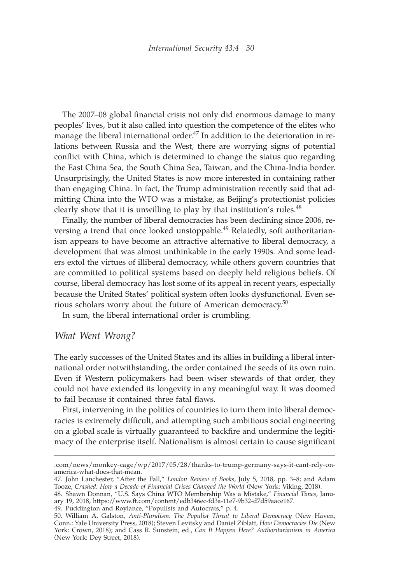The 2007–08 global financial crisis not only did enormous damage to many peoples' lives, but it also called into question the competence of the elites who manage the liberal international order.<sup>47</sup> In addition to the deterioration in relations between Russia and the West, there are worrying signs of potential conflict with China, which is determined to change the status quo regarding the East China Sea, the South China Sea, Taiwan, and the China-India border. Unsurprisingly, the United States is now more interested in containing rather than engaging China. In fact, the Trump administration recently said that admitting China into the WTO was a mistake, as Beijing's protectionist policies clearly show that it is unwilling to play by that institution's rules.<sup>48</sup>

Finally, the number of liberal democracies has been declining since 2006, reversing a trend that once looked unstoppable.<sup>49</sup> Relatedly, soft authoritarianism appears to have become an attractive alternative to liberal democracy, a development that was almost unthinkable in the early 1990s. And some leaders extol the virtues of illiberal democracy, while others govern countries that are committed to political systems based on deeply held religious beliefs. Of course, liberal democracy has lost some of its appeal in recent years, especially because the United States' political system often looks dysfunctional. Even serious scholars worry about the future of American democracy.<sup>50</sup>

In sum, the liberal international order is crumbling.

#### *What Went Wrong?*

The early successes of the United States and its allies in building a liberal international order notwithstanding, the order contained the seeds of its own ruin. Even if Western policymakers had been wiser stewards of that order, they could not have extended its longevity in any meaningful way. It was doomed to fail because it contained three fatal flaws.

First, intervening in the politics of countries to turn them into liberal democracies is extremely difficult, and attempting such ambitious social engineering on a global scale is virtually guaranteed to backfire and undermine the legitimacy of the enterprise itself. Nationalism is almost certain to cause significant

<sup>.</sup>com/news/monkey-cage/wp/2017/05/28/thanks-to-trump-germany-says-it-cant-rely-onamerica-what-does-that-mean.

<sup>47.</sup> John Lanchester, "After the Fall," *London Review of Books*, July 5, 2018, pp. 3–8; and Adam Tooze, *Crashed: How a Decade of Financial Crises Changed the World* (New York: Viking, 2018).

<sup>48.</sup> Shawn Donnan, "U.S. Says China WTO Membership Was a Mistake," *Financial Times*, January 19, 2018, https://www.ft.com/content/edb346ec-fd3a-11e7-9b32-d7d59aace167.

<sup>49.</sup> Puddington and Roylance, "Populists and Autocrats," p. 4.

<sup>50.</sup> William A. Galston, *Anti-Pluralism: The Populist Threat to Liberal Democracy* (New Haven, Conn.: Yale University Press, 2018); Steven Levitsky and Daniel Ziblatt, *How Democracies Die* (New York: Crown, 2018); and Cass R. Sunstein, ed., *Can It Happen Here? Authoritarianism in America* (New York: Dey Street, 2018).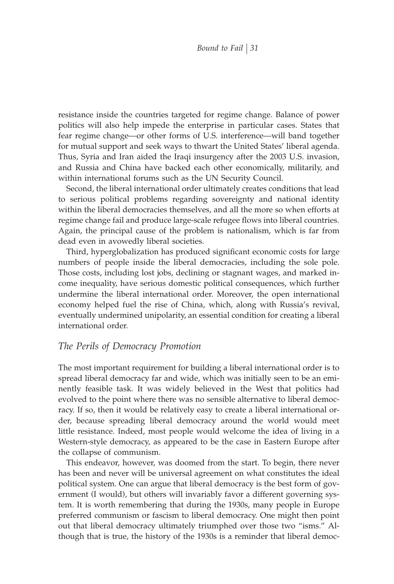resistance inside the countries targeted for regime change. Balance of power politics will also help impede the enterprise in particular cases. States that fear regime change—or other forms of U.S. interference—will band together for mutual support and seek ways to thwart the United States' liberal agenda. Thus, Syria and Iran aided the Iraqi insurgency after the 2003 U.S. invasion, and Russia and China have backed each other economically, militarily, and within international forums such as the UN Security Council.

Second, the liberal international order ultimately creates conditions that lead to serious political problems regarding sovereignty and national identity within the liberal democracies themselves, and all the more so when efforts at regime change fail and produce large-scale refugee flows into liberal countries. Again, the principal cause of the problem is nationalism, which is far from dead even in avowedly liberal societies.

Third, hyperglobalization has produced significant economic costs for large numbers of people inside the liberal democracies, including the sole pole. Those costs, including lost jobs, declining or stagnant wages, and marked income inequality, have serious domestic political consequences, which further undermine the liberal international order. Moreover, the open international economy helped fuel the rise of China, which, along with Russia's revival, eventually undermined unipolarity, an essential condition for creating a liberal international order.

# *The Perils of Democracy Promotion*

The most important requirement for building a liberal international order is to spread liberal democracy far and wide, which was initially seen to be an eminently feasible task. It was widely believed in the West that politics had evolved to the point where there was no sensible alternative to liberal democracy. If so, then it would be relatively easy to create a liberal international order, because spreading liberal democracy around the world would meet little resistance. Indeed, most people would welcome the idea of living in a Western-style democracy, as appeared to be the case in Eastern Europe after the collapse of communism.

This endeavor, however, was doomed from the start. To begin, there never has been and never will be universal agreement on what constitutes the ideal political system. One can argue that liberal democracy is the best form of government (I would), but others will invariably favor a different governing system. It is worth remembering that during the 1930s, many people in Europe preferred communism or fascism to liberal democracy. One might then point out that liberal democracy ultimately triumphed over those two "isms." Although that is true, the history of the 1930s is a reminder that liberal democ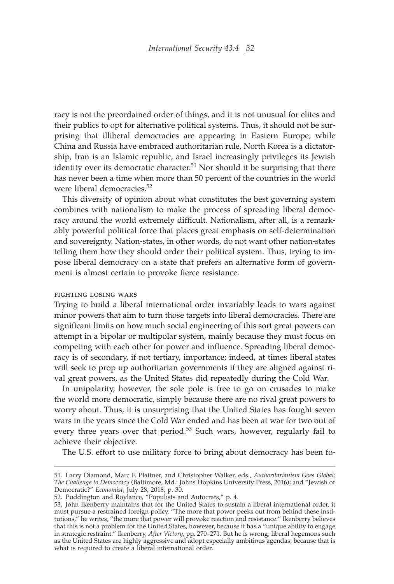racy is not the preordained order of things, and it is not unusual for elites and their publics to opt for alternative political systems. Thus, it should not be surprising that illiberal democracies are appearing in Eastern Europe, while China and Russia have embraced authoritarian rule, North Korea is a dictatorship, Iran is an Islamic republic, and Israel increasingly privileges its Jewish identity over its democratic character.<sup>51</sup> Nor should it be surprising that there has never been a time when more than 50 percent of the countries in the world were liberal democracies.<sup>52</sup>

This diversity of opinion about what constitutes the best governing system combines with nationalism to make the process of spreading liberal democracy around the world extremely difficult. Nationalism, after all, is a remarkably powerful political force that places great emphasis on self-determination and sovereignty. Nation-states, in other words, do not want other nation-states telling them how they should order their political system. Thus, trying to impose liberal democracy on a state that prefers an alternative form of government is almost certain to provoke fierce resistance.

#### FIGHTING LOSING WARS

Trying to build a liberal international order invariably leads to wars against minor powers that aim to turn those targets into liberal democracies. There are significant limits on how much social engineering of this sort great powers can attempt in a bipolar or multipolar system, mainly because they must focus on competing with each other for power and influence. Spreading liberal democracy is of secondary, if not tertiary, importance; indeed, at times liberal states will seek to prop up authoritarian governments if they are aligned against rival great powers, as the United States did repeatedly during the Cold War.

In unipolarity, however, the sole pole is free to go on crusades to make the world more democratic, simply because there are no rival great powers to worry about. Thus, it is unsurprising that the United States has fought seven wars in the years since the Cold War ended and has been at war for two out of every three years over that period. $53$  Such wars, however, regularly fail to achieve their objective.

The U.S. effort to use military force to bring about democracy has been fo-

<sup>51.</sup> Larry Diamond, Marc F. Plattner, and Christopher Walker, eds., *Authoritarianism Goes Global: The Challenge to Democracy* (Baltimore, Md.: Johns Hopkins University Press, 2016); and "Jewish or Democratic?" *Economist*, July 28, 2018, p. 30.

<sup>52.</sup> Puddington and Roylance, "Populists and Autocrats," p. 4.

<sup>53.</sup> John Ikenberry maintains that for the United States to sustain a liberal international order, it must pursue a restrained foreign policy. "The more that power peeks out from behind these institutions," he writes, "the more that power will provoke reaction and resistance." Ikenberry believes that this is not a problem for the United States, however, because it has a "unique ability to engage in strategic restraint." Ikenberry, *After Victory*, pp. 270–271. But he is wrong; liberal hegemons such as the United States are highly aggressive and adopt especially ambitious agendas, because that is what is required to create a liberal international order.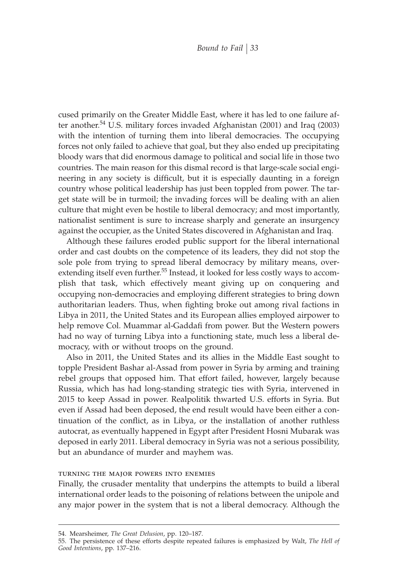cused primarily on the Greater Middle East, where it has led to one failure after another.<sup>54</sup> U.S. military forces invaded Afghanistan (2001) and Iraq (2003) with the intention of turning them into liberal democracies. The occupying forces not only failed to achieve that goal, but they also ended up precipitating bloody wars that did enormous damage to political and social life in those two countries. The main reason for this dismal record is that large-scale social engineering in any society is difficult, but it is especially daunting in a foreign country whose political leadership has just been toppled from power. The target state will be in turmoil; the invading forces will be dealing with an alien culture that might even be hostile to liberal democracy; and most importantly, nationalist sentiment is sure to increase sharply and generate an insurgency against the occupier, as the United States discovered in Afghanistan and Iraq.

Although these failures eroded public support for the liberal international order and cast doubts on the competence of its leaders, they did not stop the sole pole from trying to spread liberal democracy by military means, overextending itself even further.<sup>55</sup> Instead, it looked for less costly ways to accomplish that task, which effectively meant giving up on conquering and occupying non-democracies and employing different strategies to bring down authoritarian leaders. Thus, when fighting broke out among rival factions in Libya in 2011, the United States and its European allies employed airpower to help remove Col. Muammar al-Gaddafi from power. But the Western powers had no way of turning Libya into a functioning state, much less a liberal democracy, with or without troops on the ground.

Also in 2011, the United States and its allies in the Middle East sought to topple President Bashar al-Assad from power in Syria by arming and training rebel groups that opposed him. That effort failed, however, largely because Russia, which has had long-standing strategic ties with Syria, intervened in 2015 to keep Assad in power. Realpolitik thwarted U.S. efforts in Syria. But even if Assad had been deposed, the end result would have been either a continuation of the conflict, as in Libya, or the installation of another ruthless autocrat, as eventually happened in Egypt after President Hosni Mubarak was deposed in early 2011. Liberal democracy in Syria was not a serious possibility, but an abundance of murder and mayhem was.

#### turning the major powers into enemies

Finally, the crusader mentality that underpins the attempts to build a liberal international order leads to the poisoning of relations between the unipole and any major power in the system that is not a liberal democracy. Although the

<sup>54.</sup> Mearsheimer, *The Great Delusion*, pp. 120–187.

<sup>55.</sup> The persistence of these efforts despite repeated failures is emphasized by Walt, *The Hell of Good Intentions*, pp. 137–216.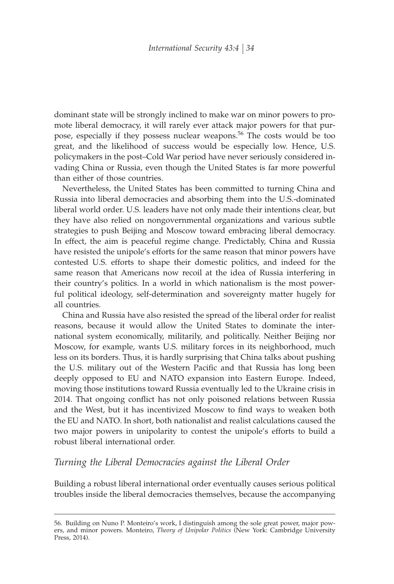dominant state will be strongly inclined to make war on minor powers to promote liberal democracy, it will rarely ever attack major powers for that purpose, especially if they possess nuclear weapons.<sup>56</sup> The costs would be too great, and the likelihood of success would be especially low. Hence, U.S. policymakers in the post–Cold War period have never seriously considered invading China or Russia, even though the United States is far more powerful than either of those countries.

Nevertheless, the United States has been committed to turning China and Russia into liberal democracies and absorbing them into the U.S.-dominated liberal world order. U.S. leaders have not only made their intentions clear, but they have also relied on nongovernmental organizations and various subtle strategies to push Beijing and Moscow toward embracing liberal democracy. In effect, the aim is peaceful regime change. Predictably, China and Russia have resisted the unipole's efforts for the same reason that minor powers have contested U.S. efforts to shape their domestic politics, and indeed for the same reason that Americans now recoil at the idea of Russia interfering in their country's politics. In a world in which nationalism is the most powerful political ideology, self-determination and sovereignty matter hugely for all countries.

China and Russia have also resisted the spread of the liberal order for realist reasons, because it would allow the United States to dominate the international system economically, militarily, and politically. Neither Beijing nor Moscow, for example, wants U.S. military forces in its neighborhood, much less on its borders. Thus, it is hardly surprising that China talks about pushing the U.S. military out of the Western Pacific and that Russia has long been deeply opposed to EU and NATO expansion into Eastern Europe. Indeed, moving those institutions toward Russia eventually led to the Ukraine crisis in 2014. That ongoing conflict has not only poisoned relations between Russia and the West, but it has incentivized Moscow to find ways to weaken both the EU and NATO. In short, both nationalist and realist calculations caused the two major powers in unipolarity to contest the unipole's efforts to build a robust liberal international order.

# *Turning the Liberal Democracies against the Liberal Order*

Building a robust liberal international order eventually causes serious political troubles inside the liberal democracies themselves, because the accompanying

<sup>56.</sup> Building on Nuno P. Monteiro's work, I distinguish among the sole great power, major powers, and minor powers. Monteiro, *Theory of Unipolar Politics* (New York: Cambridge University Press, 2014).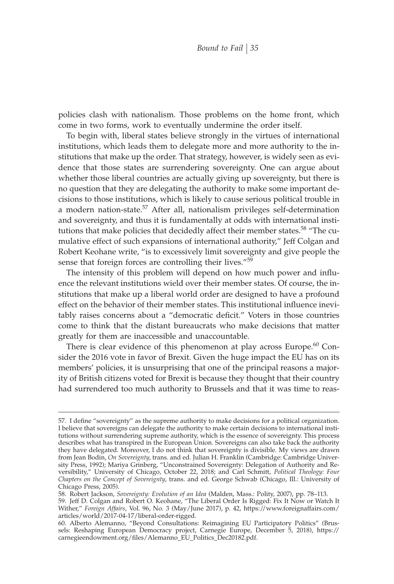policies clash with nationalism. Those problems on the home front, which come in two forms, work to eventually undermine the order itself.

To begin with, liberal states believe strongly in the virtues of international institutions, which leads them to delegate more and more authority to the institutions that make up the order. That strategy, however, is widely seen as evidence that those states are surrendering sovereignty. One can argue about whether those liberal countries are actually giving up sovereignty, but there is no question that they are delegating the authority to make some important decisions to those institutions, which is likely to cause serious political trouble in a modern nation-state.<sup>57</sup> After all, nationalism privileges self-determination and sovereignty, and thus it is fundamentally at odds with international institutions that make policies that decidedly affect their member states.<sup>58</sup> "The cumulative effect of such expansions of international authority," Jeff Colgan and Robert Keohane write, "is to excessively limit sovereignty and give people the sense that foreign forces are controlling their lives."<sup>59</sup>

The intensity of this problem will depend on how much power and influence the relevant institutions wield over their member states. Of course, the institutions that make up a liberal world order are designed to have a profound effect on the behavior of their member states. This institutional influence inevitably raises concerns about a "democratic deficit." Voters in those countries come to think that the distant bureaucrats who make decisions that matter greatly for them are inaccessible and unaccountable.

There is clear evidence of this phenomenon at play across Europe.<sup>60</sup> Consider the 2016 vote in favor of Brexit. Given the huge impact the EU has on its members' policies, it is unsurprising that one of the principal reasons a majority of British citizens voted for Brexit is because they thought that their country had surrendered too much authority to Brussels and that it was time to reas-

<sup>57.</sup> I define "sovereignty" as the supreme authority to make decisions for a political organization. I believe that sovereigns can delegate the authority to make certain decisions to international institutions without surrendering supreme authority, which is the essence of sovereignty. This process describes what has transpired in the European Union. Sovereigns can also take back the authority they have delegated. Moreover, I do not think that sovereignty is divisible. My views are drawn from Jean Bodin, *On Sovereignty*, trans. and ed. Julian H. Franklin (Cambridge: Cambridge University Press, 1992); Mariya Grinberg, "Unconstrained Sovereignty: Delegation of Authority and Reversibility," University of Chicago, October 22, 2018; and Carl Schmitt, *Political Theology: Four Chapters on the Concept of Sovereignty*, trans. and ed. George Schwab (Chicago, Ill.: University of Chicago Press, 2005).

<sup>58.</sup> Robert Jackson, *Sovereignty: Evolution of an Idea* (Malden, Mass.: Polity, 2007), pp. 78–113. 59. Jeff D. Colgan and Robert O. Keohane, "The Liberal Order Is Rigged: Fix It Now or Watch It

Wither," *Foreign Affairs*, Vol. 96, No. 3 (May/June 2017), p. 42, https://www.foreignaffairs.com/ articles/world/2017-04-17/liberal-order-rigged.

<sup>60.</sup> Alberto Alemanno, "Beyond Consultations: Reimagining EU Participatory Politics" (Brussels: Reshaping European Democracy project, Carnegie Europe, December 5, 2018), https:// carnegieendowment.org/files/Alemanno\_EU\_Politics\_Dec20182.pdf.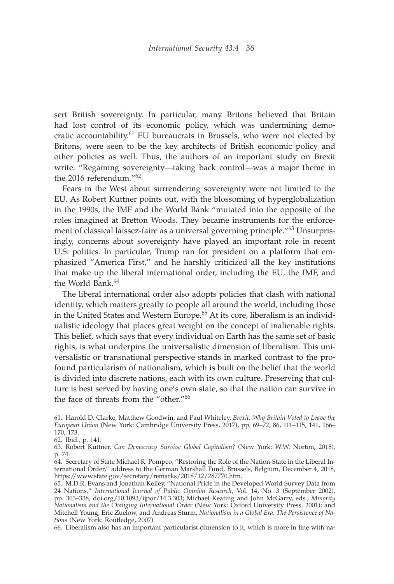sert British sovereignty. In particular, many Britons believed that Britain had lost control of its economic policy, which was undermining democratic accountability. $61$  EU bureaucrats in Brussels, who were not elected by Britons, were seen to be the key architects of British economic policy and other policies as well. Thus, the authors of an important study on Brexit write: "Regaining sovereignty—taking back control—was a major theme in the 2016 referendum."<sup>62</sup>

Fears in the West about surrendering sovereignty were not limited to the EU. As Robert Kuttner points out, with the blossoming of hyperglobalization in the 1990s, the IMF and the World Bank "mutated into the opposite of the roles imagined at Bretton Woods. They became instruments for the enforcement of classical laissez-faire as a universal governing principle."<sup>63</sup> Unsurprisingly, concerns about sovereignty have played an important role in recent U.S. politics. In particular, Trump ran for president on a platform that emphasized "America First," and he harshly criticized all the key institutions that make up the liberal international order, including the EU, the IMF, and the World Bank  $64$ 

The liberal international order also adopts policies that clash with national identity, which matters greatly to people all around the world, including those in the United States and Western Europe.<sup>65</sup> At its core, liberalism is an individualistic ideology that places great weight on the concept of inalienable rights. This belief, which says that every individual on Earth has the same set of basic rights, is what underpins the universalistic dimension of liberalism. This universalistic or transnational perspective stands in marked contrast to the profound particularism of nationalism, which is built on the belief that the world is divided into discrete nations, each with its own culture. Preserving that culture is best served by having one's own state, so that the nation can survive in the face of threats from the "other."<sup>66</sup>

<sup>61.</sup> Harold D. Clarke, Matthew Goodwin, and Paul Whiteley, *Brexit: Why Britain Voted to Leave the European Union* (New York: Cambridge University Press, 2017), pp. 69–72, 86, 111–115, 141, 166– 170, 173.

<sup>62.</sup> Ibid., p. 141.

<sup>63.</sup> Robert Kuttner, *Can Democracy Survive Global Capitalism*? (New York: W.W. Norton, 2018), p. 74.

<sup>64.</sup> Secretary of State Michael R. Pompeo, "Restoring the Role of the Nation-State in the Liberal International Order," address to the German Marshall Fund, Brussels, Belgium, December 4, 2018, https://www.state.gov/secretary/remarks/2018/12/287770.htm.

<sup>65.</sup> M.D.R. Evans and Jonathan Kelley, "National Pride in the Developed World Survey Data from 24 Nations," *International Journal of Public Opinion Research*, Vol. 14, No. 3 (September 2002), pp. 303–338, doi.org/10.1093/ijpor/14.3.303; Michael Keating and John McGarry, eds., *Minority Nationalism and the Changing International Order* (New York: Oxford University Press, 2001); and Mitchell Young, Eric Zuelow, and Andreas Sturm, *Nationalism in a Global Era: The Persistence of Nations* (New York: Routledge, 2007).

<sup>66.</sup> Liberalism also has an important particularist dimension to it, which is more in line with na-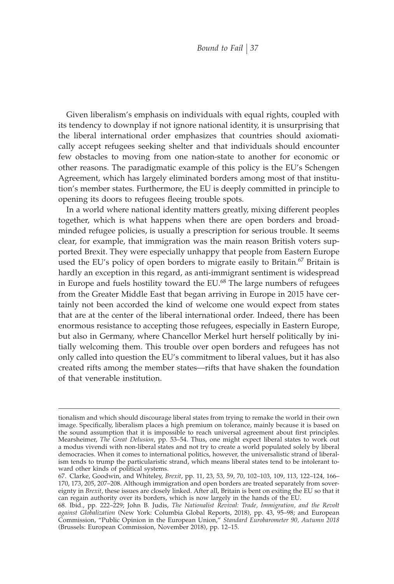Given liberalism's emphasis on individuals with equal rights, coupled with its tendency to downplay if not ignore national identity, it is unsurprising that the liberal international order emphasizes that countries should axiomatically accept refugees seeking shelter and that individuals should encounter few obstacles to moving from one nation-state to another for economic or other reasons. The paradigmatic example of this policy is the EU's Schengen Agreement, which has largely eliminated borders among most of that institution's member states. Furthermore, the EU is deeply committed in principle to opening its doors to refugees fleeing trouble spots.

In a world where national identity matters greatly, mixing different peoples together, which is what happens when there are open borders and broadminded refugee policies, is usually a prescription for serious trouble. It seems clear, for example, that immigration was the main reason British voters supported Brexit. They were especially unhappy that people from Eastern Europe used the EU's policy of open borders to migrate easily to Britain.<sup>67</sup> Britain is hardly an exception in this regard, as anti-immigrant sentiment is widespread in Europe and fuels hostility toward the  $EU^{68}$  The large numbers of refugees from the Greater Middle East that began arriving in Europe in 2015 have certainly not been accorded the kind of welcome one would expect from states that are at the center of the liberal international order. Indeed, there has been enormous resistance to accepting those refugees, especially in Eastern Europe, but also in Germany, where Chancellor Merkel hurt herself politically by initially welcoming them. This trouble over open borders and refugees has not only called into question the EU's commitment to liberal values, but it has also created rifts among the member states—rifts that have shaken the foundation of that venerable institution.

tionalism and which should discourage liberal states from trying to remake the world in their own image. Specifically, liberalism places a high premium on tolerance, mainly because it is based on the sound assumption that it is impossible to reach universal agreement about first principles. Mearsheimer, *The Great Delusion*, pp. 53–54. Thus, one might expect liberal states to work out a modus vivendi with non-liberal states and not try to create a world populated solely by liberal democracies. When it comes to international politics, however, the universalistic strand of liberalism tends to trump the particularistic strand, which means liberal states tend to be intolerant toward other kinds of political systems.

<sup>67.</sup> Clarke, Goodwin, and Whiteley, *Brexit*, pp. 11, 23, 53, 59, 70, 102–103, 109, 113, 122–124, 166– 170, 173, 205, 207–208. Although immigration and open borders are treated separately from sovereignty in *Brexit*, these issues are closely linked. After all, Britain is bent on exiting the EU so that it can regain authority over its borders, which is now largely in the hands of the EU.

<sup>68.</sup> Ibid., pp. 222–229; John B. Judis, *The Nationalist Revival: Trade, Immigration, and the Revolt against Globalization* (New York: Columbia Global Reports, 2018), pp. 43, 95–98; and European Commission, "Public Opinion in the European Union," *Standard Eurobarometer 90, Autumn 2018* (Brussels: European Commission, November 2018), pp. 12–15.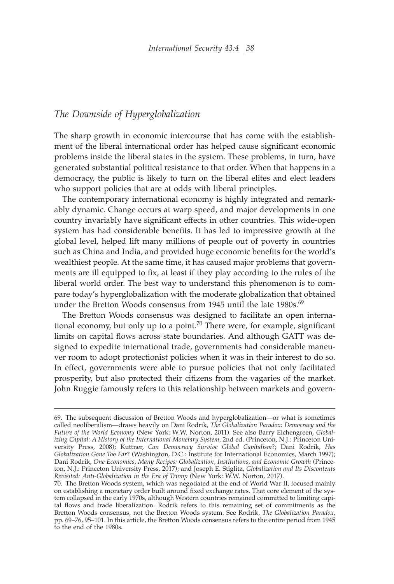# *The Downside of Hyperglobalization*

The sharp growth in economic intercourse that has come with the establishment of the liberal international order has helped cause significant economic problems inside the liberal states in the system. These problems, in turn, have generated substantial political resistance to that order. When that happens in a democracy, the public is likely to turn on the liberal elites and elect leaders who support policies that are at odds with liberal principles.

The contemporary international economy is highly integrated and remarkably dynamic. Change occurs at warp speed, and major developments in one country invariably have significant effects in other countries. This wide-open system has had considerable benefits. It has led to impressive growth at the global level, helped lift many millions of people out of poverty in countries such as China and India, and provided huge economic benefits for the world's wealthiest people. At the same time, it has caused major problems that governments are ill equipped to fix, at least if they play according to the rules of the liberal world order. The best way to understand this phenomenon is to compare today's hyperglobalization with the moderate globalization that obtained under the Bretton Woods consensus from 1945 until the late 1980s.<sup>69</sup>

The Bretton Woods consensus was designed to facilitate an open international economy, but only up to a point.<sup>70</sup> There were, for example, significant limits on capital flows across state boundaries. And although GATT was designed to expedite international trade, governments had considerable maneuver room to adopt protectionist policies when it was in their interest to do so. In effect, governments were able to pursue policies that not only facilitated prosperity, but also protected their citizens from the vagaries of the market. John Ruggie famously refers to this relationship between markets and govern-

<sup>69.</sup> The subsequent discussion of Bretton Woods and hyperglobalization—or what is sometimes called neoliberalism—draws heavily on Dani Rodrik, *The Globalization Paradox: Democracy and the Future of the World Economy* (New York: W.W. Norton, 2011). See also Barry Eichengreen, *Globalizing Capital: A History of the International Monetary System*, 2nd ed. (Princeton, N.J.: Princeton University Press, 2008); Kuttner, *Can Democracy Survive Global Capitalism*?; Dani Rodrik, *Has Globalization Gone Too Far*? (Washington, D.C.: Institute for International Economics, March 1997); Dani Rodrik, *One Economics, Many Recipes: Globalization, Institutions, and Economic Growth* (Princeton, N.J.: Princeton University Press, 2017); and Joseph E. Stiglitz, *Globalization and Its Discontents Revisited: Anti-Globalization in the Era of Trump* (New York: W.W. Norton, 2017).

<sup>70.</sup> The Bretton Woods system, which was negotiated at the end of World War II, focused mainly on establishing a monetary order built around fixed exchange rates. That core element of the system collapsed in the early 1970s, although Western countries remained committed to limiting capital flows and trade liberalization. Rodrik refers to this remaining set of commitments as the Bretton Woods consensus, not the Bretton Woods system. See Rodrik, *The Globalization Paradox*, pp. 69–76, 95–101. In this article, the Bretton Woods consensus refers to the entire period from 1945 to the end of the 1980s.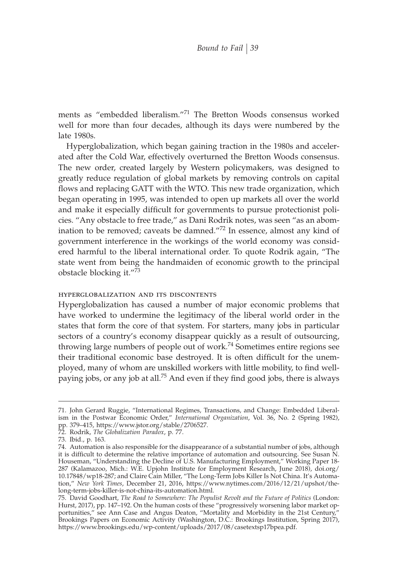ments as "embedded liberalism."<sup>71</sup> The Bretton Woods consensus worked well for more than four decades, although its days were numbered by the late 1980s.

Hyperglobalization, which began gaining traction in the 1980s and accelerated after the Cold War, effectively overturned the Bretton Woods consensus. The new order, created largely by Western policymakers, was designed to greatly reduce regulation of global markets by removing controls on capital flows and replacing GATT with the WTO. This new trade organization, which began operating in 1995, was intended to open up markets all over the world and make it especially difficult for governments to pursue protectionist policies. "Any obstacle to free trade," as Dani Rodrik notes, was seen "as an abomination to be removed; caveats be damned."<sup>72</sup> In essence, almost any kind of government interference in the workings of the world economy was considered harmful to the liberal international order. To quote Rodrik again, "The state went from being the handmaiden of economic growth to the principal obstacle blocking it."<sup>73</sup>

#### hyperglobalization and its discontents

Hyperglobalization has caused a number of major economic problems that have worked to undermine the legitimacy of the liberal world order in the states that form the core of that system. For starters, many jobs in particular sectors of a country's economy disappear quickly as a result of outsourcing, throwing large numbers of people out of work.<sup>74</sup> Sometimes entire regions see their traditional economic base destroyed. It is often difficult for the unemployed, many of whom are unskilled workers with little mobility, to find wellpaying jobs, or any job at all.<sup>75</sup> And even if they find good jobs, there is always

<sup>71.</sup> John Gerard Ruggie, "International Regimes, Transactions, and Change: Embedded Liberalism in the Postwar Economic Order," *International Organization*, Vol. 36, No. 2 (Spring 1982), pp. 379–415, https://www.jstor.org/stable/2706527.

<sup>72.</sup> Rodrik, *The Globalization Paradox*, p. 77.

<sup>73.</sup> Ibid., p. 163.

<sup>74.</sup> Automation is also responsible for the disappearance of a substantial number of jobs, although it is difficult to determine the relative importance of automation and outsourcing. See Susan N. Houseman, "Understanding the Decline of U.S. Manufacturing Employment," Working Paper 18- 287 (Kalamazoo, Mich.: W.E. Upjohn Institute for Employment Research, June 2018), doi.org/ 10.17848/wp18-287; and Claire Cain Miller, "The Long-Term Jobs Killer Is Not China. It's Automation," *New York Times*, December 21, 2016, https://www.nytimes.com/2016/12/21/upshot/thelong-term-jobs-killer-is-not-china-its-automation.html.

<sup>75.</sup> David Goodhart, *The Road to Somewhere: The Populist Revolt and the Future of Politics* (London: Hurst, 2017), pp. 147–192. On the human costs of these "progressively worsening labor market opportunities," see Ann Case and Angus Deaton, "Mortality and Morbidity in the 21st Century," Brookings Papers on Economic Activity (Washington, D.C.: Brookings Institution, Spring 2017), https://www.brookings.edu/wp-content/uploads/2017/08/casetextsp17bpea.pdf.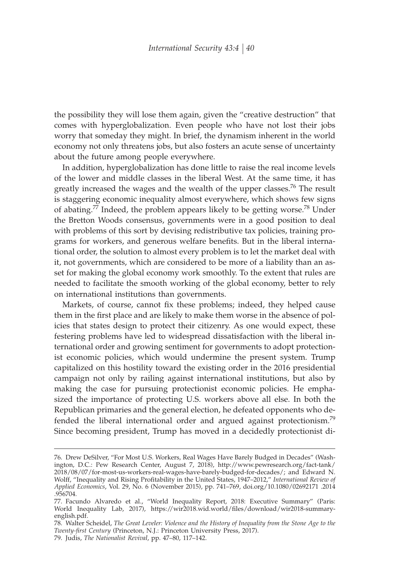the possibility they will lose them again, given the "creative destruction" that comes with hyperglobalization. Even people who have not lost their jobs worry that someday they might. In brief, the dynamism inherent in the world economy not only threatens jobs, but also fosters an acute sense of uncertainty about the future among people everywhere.

In addition, hyperglobalization has done little to raise the real income levels of the lower and middle classes in the liberal West. At the same time, it has greatly increased the wages and the wealth of the upper classes.<sup>76</sup> The result is staggering economic inequality almost everywhere, which shows few signs of abating.<sup>77</sup> Indeed, the problem appears likely to be getting worse.<sup>78</sup> Under the Bretton Woods consensus, governments were in a good position to deal with problems of this sort by devising redistributive tax policies, training programs for workers, and generous welfare benefits. But in the liberal international order, the solution to almost every problem is to let the market deal with it, not governments, which are considered to be more of a liability than an asset for making the global economy work smoothly. To the extent that rules are needed to facilitate the smooth working of the global economy, better to rely on international institutions than governments.

Markets, of course, cannot fix these problems; indeed, they helped cause them in the first place and are likely to make them worse in the absence of policies that states design to protect their citizenry. As one would expect, these festering problems have led to widespread dissatisfaction with the liberal international order and growing sentiment for governments to adopt protectionist economic policies, which would undermine the present system. Trump capitalized on this hostility toward the existing order in the 2016 presidential campaign not only by railing against international institutions, but also by making the case for pursuing protectionist economic policies. He emphasized the importance of protecting U.S. workers above all else. In both the Republican primaries and the general election, he defeated opponents who defended the liberal international order and argued against protectionism.<sup>79</sup> Since becoming president, Trump has moved in a decidedly protectionist di-

<sup>76.</sup> Drew DeSilver, "For Most U.S. Workers, Real Wages Have Barely Budged in Decades" (Washington, D.C.: Pew Research Center, August 7, 2018), http://www.pewresearch.org/fact-tank/ 2018/08/07/for-most-us-workers-real-wages-have-barely-budged-for-decades/; and Edward N. Wolff, "Inequality and Rising Profitability in the United States, 1947-2012," International Review of *Applied Economics*, Vol. 29, No. 6 (November 2015), pp. 741–769, doi.org/10.1080/02692171 .2014 .956704.

<sup>77.</sup> Facundo Alvaredo et al., "World Inequality Report, 2018: Executive Summary" (Paris: World Inequality Lab, 2017), https://wir2018.wid.world/ªles/download/wir2018-summaryenglish.pdf.

<sup>78.</sup> Walter Scheidel, *The Great Leveler: Violence and the History of Inequality from the Stone Age to the Twenty-first Century* (Princeton, N.J.: Princeton University Press, 2017).

<sup>79.</sup> Judis, *The Nationalist Revival*, pp. 47–80, 117–142.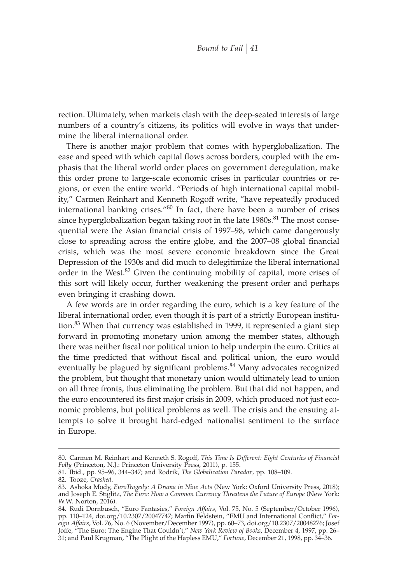rection. Ultimately, when markets clash with the deep-seated interests of large numbers of a country's citizens, its politics will evolve in ways that undermine the liberal international order.

There is another major problem that comes with hyperglobalization. The ease and speed with which capital flows across borders, coupled with the emphasis that the liberal world order places on government deregulation, make this order prone to large-scale economic crises in particular countries or regions, or even the entire world. "Periods of high international capital mobility," Carmen Reinhart and Kenneth Rogoff write, "have repeatedly produced international banking crises."<sup>80</sup> In fact, there have been a number of crises since hyperglobalization began taking root in the late  $1980s$ .<sup>81</sup> The most consequential were the Asian financial crisis of 1997–98, which came dangerously close to spreading across the entire globe, and the 2007–08 global financial crisis, which was the most severe economic breakdown since the Great Depression of the 1930s and did much to delegitimize the liberal international order in the West.<sup>82</sup> Given the continuing mobility of capital, more crises of this sort will likely occur, further weakening the present order and perhaps even bringing it crashing down.

A few words are in order regarding the euro, which is a key feature of the liberal international order, even though it is part of a strictly European institution.<sup>83</sup> When that currency was established in 1999, it represented a giant step forward in promoting monetary union among the member states, although there was neither fiscal nor political union to help underpin the euro. Critics at the time predicted that without fiscal and political union, the euro would eventually be plagued by significant problems.<sup>84</sup> Many advocates recognized the problem, but thought that monetary union would ultimately lead to union on all three fronts, thus eliminating the problem. But that did not happen, and the euro encountered its first major crisis in 2009, which produced not just economic problems, but political problems as well. The crisis and the ensuing attempts to solve it brought hard-edged nationalist sentiment to the surface in Europe.

<sup>80.</sup> Carmen M. Reinhart and Kenneth S. Rogoff, *This Time Is Different: Eight Centuries of Financial Folly* (Princeton, N.J.: Princeton University Press, 2011), p. 155.

<sup>81.</sup> Ibid., pp. 95–96, 344–347; and Rodrik, *The Globalization Paradox*, pp. 108–109.

<sup>82.</sup> Tooze, *Crashed*.

<sup>83.</sup> Ashoka Mody, *EuroTragedy: A Drama in Nine Acts* (New York: Oxford University Press, 2018); and Joseph E. Stiglitz, *The Euro: How a Common Currency Threatens the Future of Europe* (New York: W.W. Norton, 2016).

<sup>84.</sup> Rudi Dornbusch, "Euro Fantasies," *Foreign Affairs*, Vol. 75, No. 5 (September/October 1996), pp. 110-124, doi.org/10.2307/20047747; Martin Feldstein, "EMU and International Conflict," For*eign Affairs*, Vol. 76, No. 6 (November/December 1997), pp. 60–73, doi.org/10.2307/20048276; Josef Joffe, "The Euro: The Engine That Couldn't," *New York Review of Books*, December 4, 1997, pp. 26– 31; and Paul Krugman, "The Plight of the Hapless EMU," *Fortune*, December 21, 1998, pp. 34–36.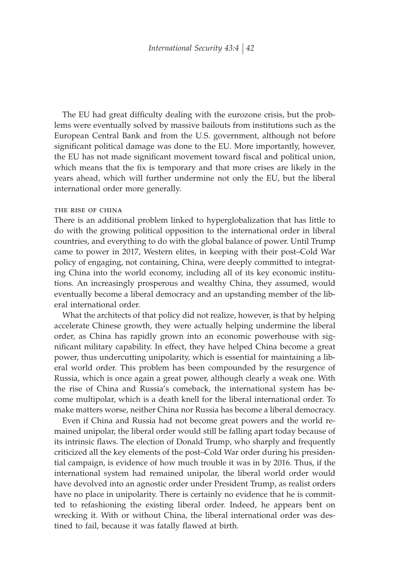The EU had great difficulty dealing with the eurozone crisis, but the problems were eventually solved by massive bailouts from institutions such as the European Central Bank and from the U.S. government, although not before significant political damage was done to the EU. More importantly, however, the EU has not made significant movement toward fiscal and political union, which means that the fix is temporary and that more crises are likely in the years ahead, which will further undermine not only the EU, but the liberal international order more generally.

#### the rise of china

There is an additional problem linked to hyperglobalization that has little to do with the growing political opposition to the international order in liberal countries, and everything to do with the global balance of power. Until Trump came to power in 2017, Western elites, in keeping with their post–Cold War policy of engaging, not containing, China, were deeply committed to integrating China into the world economy, including all of its key economic institutions. An increasingly prosperous and wealthy China, they assumed, would eventually become a liberal democracy and an upstanding member of the liberal international order.

What the architects of that policy did not realize, however, is that by helping accelerate Chinese growth, they were actually helping undermine the liberal order, as China has rapidly grown into an economic powerhouse with significant military capability. In effect, they have helped China become a great power, thus undercutting unipolarity, which is essential for maintaining a liberal world order. This problem has been compounded by the resurgence of Russia, which is once again a great power, although clearly a weak one. With the rise of China and Russia's comeback, the international system has become multipolar, which is a death knell for the liberal international order. To make matters worse, neither China nor Russia has become a liberal democracy.

Even if China and Russia had not become great powers and the world remained unipolar, the liberal order would still be falling apart today because of its intrinsic flaws. The election of Donald Trump, who sharply and frequently criticized all the key elements of the post–Cold War order during his presidential campaign, is evidence of how much trouble it was in by 2016. Thus, if the international system had remained unipolar, the liberal world order would have devolved into an agnostic order under President Trump, as realist orders have no place in unipolarity. There is certainly no evidence that he is committed to refashioning the existing liberal order. Indeed, he appears bent on wrecking it. With or without China, the liberal international order was destined to fail, because it was fatally flawed at birth.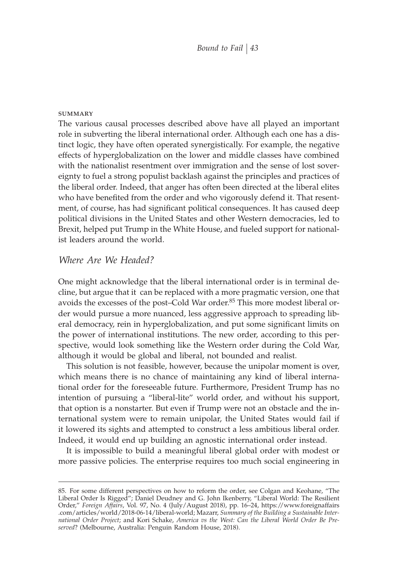#### **SUMMARY**

The various causal processes described above have all played an important role in subverting the liberal international order. Although each one has a distinct logic, they have often operated synergistically. For example, the negative effects of hyperglobalization on the lower and middle classes have combined with the nationalist resentment over immigration and the sense of lost sovereignty to fuel a strong populist backlash against the principles and practices of the liberal order. Indeed, that anger has often been directed at the liberal elites who have benefited from the order and who vigorously defend it. That resentment, of course, has had significant political consequences. It has caused deep political divisions in the United States and other Western democracies, led to Brexit, helped put Trump in the White House, and fueled support for nationalist leaders around the world.

# *Where Are We Headed?*

One might acknowledge that the liberal international order is in terminal decline, but argue that it can be replaced with a more pragmatic version, one that avoids the excesses of the post–Cold War order.<sup>85</sup> This more modest liberal order would pursue a more nuanced, less aggressive approach to spreading liberal democracy, rein in hyperglobalization, and put some significant limits on the power of international institutions. The new order, according to this perspective, would look something like the Western order during the Cold War, although it would be global and liberal, not bounded and realist.

This solution is not feasible, however, because the unipolar moment is over, which means there is no chance of maintaining any kind of liberal international order for the foreseeable future. Furthermore, President Trump has no intention of pursuing a "liberal-lite" world order, and without his support, that option is a nonstarter. But even if Trump were not an obstacle and the international system were to remain unipolar, the United States would fail if it lowered its sights and attempted to construct a less ambitious liberal order. Indeed, it would end up building an agnostic international order instead.

It is impossible to build a meaningful liberal global order with modest or more passive policies. The enterprise requires too much social engineering in

<sup>85.</sup> For some different perspectives on how to reform the order, see Colgan and Keohane, "The Liberal Order Is Rigged"; Daniel Deudney and G. John Ikenberry, "Liberal World: The Resilient Order," *Foreign Affairs*, Vol. 97, No. 4 (July/August 2018), pp. 16–24, https://www.foreignaffairs .com/articles/world/2018-06-14/liberal-world; Mazarr, *Summary of the Building a Sustainable International Order Project*; and Kori Schake, *America vs the West: Can the Liberal World Order Be Preserved*? (Melbourne, Australia: Penguin Random House, 2018).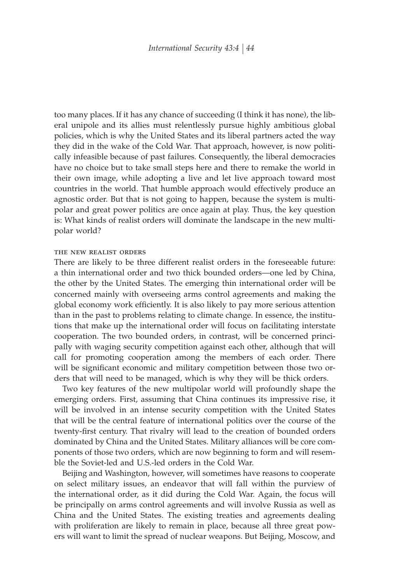too many places. If it has any chance of succeeding (I think it has none), the liberal unipole and its allies must relentlessly pursue highly ambitious global policies, which is why the United States and its liberal partners acted the way they did in the wake of the Cold War. That approach, however, is now politically infeasible because of past failures. Consequently, the liberal democracies have no choice but to take small steps here and there to remake the world in their own image, while adopting a live and let live approach toward most countries in the world. That humble approach would effectively produce an agnostic order. But that is not going to happen, because the system is multipolar and great power politics are once again at play. Thus, the key question is: What kinds of realist orders will dominate the landscape in the new multipolar world?

#### the new realist orders

There are likely to be three different realist orders in the foreseeable future: a thin international order and two thick bounded orders—one led by China, the other by the United States. The emerging thin international order will be concerned mainly with overseeing arms control agreements and making the global economy work efficiently. It is also likely to pay more serious attention than in the past to problems relating to climate change. In essence, the institutions that make up the international order will focus on facilitating interstate cooperation. The two bounded orders, in contrast, will be concerned principally with waging security competition against each other, although that will call for promoting cooperation among the members of each order. There will be significant economic and military competition between those two orders that will need to be managed, which is why they will be thick orders.

Two key features of the new multipolar world will profoundly shape the emerging orders. First, assuming that China continues its impressive rise, it will be involved in an intense security competition with the United States that will be the central feature of international politics over the course of the twenty-first century. That rivalry will lead to the creation of bounded orders dominated by China and the United States. Military alliances will be core components of those two orders, which are now beginning to form and will resemble the Soviet-led and U.S.-led orders in the Cold War.

Beijing and Washington, however, will sometimes have reasons to cooperate on select military issues, an endeavor that will fall within the purview of the international order, as it did during the Cold War. Again, the focus will be principally on arms control agreements and will involve Russia as well as China and the United States. The existing treaties and agreements dealing with proliferation are likely to remain in place, because all three great powers will want to limit the spread of nuclear weapons. But Beijing, Moscow, and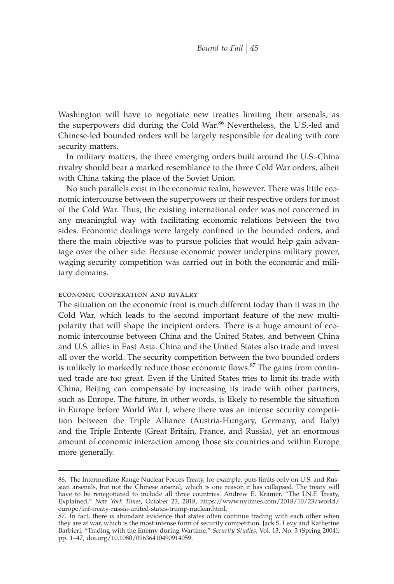Washington will have to negotiate new treaties limiting their arsenals, as the superpowers did during the Cold War.<sup>86</sup> Nevertheless, the U.S.-led and Chinese-led bounded orders will be largely responsible for dealing with core security matters.

In military matters, the three emerging orders built around the U.S.-China rivalry should bear a marked resemblance to the three Cold War orders, albeit with China taking the place of the Soviet Union.

No such parallels exist in the economic realm, however. There was little economic intercourse between the superpowers or their respective orders for most of the Cold War. Thus, the existing international order was not concerned in any meaningful way with facilitating economic relations between the two sides. Economic dealings were largely confined to the bounded orders, and there the main objective was to pursue policies that would help gain advantage over the other side. Because economic power underpins military power, waging security competition was carried out in both the economic and military domains.

#### economic cooperation and rivalry

The situation on the economic front is much different today than it was in the Cold War, which leads to the second important feature of the new multipolarity that will shape the incipient orders. There is a huge amount of economic intercourse between China and the United States, and between China and U.S. allies in East Asia. China and the United States also trade and invest all over the world. The security competition between the two bounded orders is unlikely to markedly reduce those economic flows. $87$  The gains from continued trade are too great. Even if the United States tries to limit its trade with China, Beijing can compensate by increasing its trade with other partners, such as Europe. The future, in other words, is likely to resemble the situation in Europe before World War I, where there was an intense security competition between the Triple Alliance (Austria-Hungary, Germany, and Italy) and the Triple Entente (Great Britain, France, and Russia), yet an enormous amount of economic interaction among those six countries and within Europe more generally.

<sup>86.</sup> The Intermediate-Range Nuclear Forces Treaty, for example, puts limits only on U.S. and Russian arsenals, but not the Chinese arsenal, which is one reason it has collapsed. The treaty will have to be renegotiated to include all three countries. Andrew E. Kramer, "The I.N.F. Treaty, Explained," *New York Times*, October 23, 2018, https://www.nytimes.com/2018/10/23/world/ europe/inf-treaty-russia-united-states-trump-nuclear.html.

<sup>87.</sup> In fact, there is abundant evidence that states often continue trading with each other when they are at war, which is the most intense form of security competition. Jack S. Levy and Katherine Barbieri, "Trading with the Enemy during Wartime," *Security Studies*, Vol. 13, No. 3 (Spring 2004), pp. 1–47, doi.org/10.1080/09636410490914059.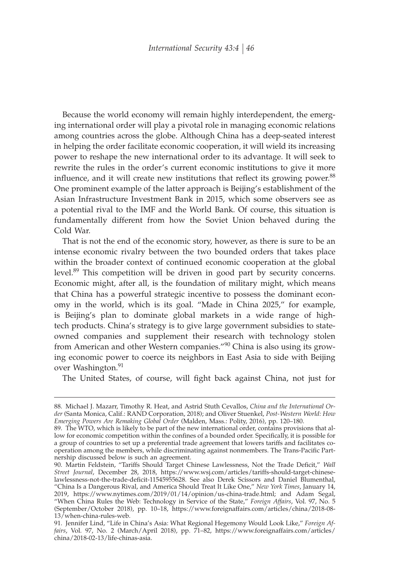Because the world economy will remain highly interdependent, the emerging international order will play a pivotal role in managing economic relations among countries across the globe. Although China has a deep-seated interest in helping the order facilitate economic cooperation, it will wield its increasing power to reshape the new international order to its advantage. It will seek to rewrite the rules in the order's current economic institutions to give it more influence, and it will create new institutions that reflect its growing power.<sup>88</sup> One prominent example of the latter approach is Beijing's establishment of the Asian Infrastructure Investment Bank in 2015, which some observers see as a potential rival to the IMF and the World Bank. Of course, this situation is fundamentally different from how the Soviet Union behaved during the Cold War.

That is not the end of the economic story, however, as there is sure to be an intense economic rivalry between the two bounded orders that takes place within the broader context of continued economic cooperation at the global level.<sup>89</sup> This competition will be driven in good part by security concerns. Economic might, after all, is the foundation of military might, which means that China has a powerful strategic incentive to possess the dominant economy in the world, which is its goal. "Made in China 2025," for example, is Beijing's plan to dominate global markets in a wide range of hightech products. China's strategy is to give large government subsidies to stateowned companies and supplement their research with technology stolen from American and other Western companies."<sup>90</sup> China is also using its growing economic power to coerce its neighbors in East Asia to side with Beijing over Washington.<sup>91</sup>

The United States, of course, will fight back against China, not just for

<sup>88.</sup> Michael J. Mazarr, Timothy R. Heat, and Astrid Stuth Cevallos, *China and the International Order* (Santa Monica, Calif.: RAND Corporation, 2018); and Oliver Stuenkel, *Post-Western World: How Emerging Powers Are Remaking Global Order* (Malden, Mass.: Polity, 2016), pp. 120–180.

<sup>89.</sup> The WTO, which is likely to be part of the new international order, contains provisions that allow for economic competition within the confines of a bounded order. Specifically, it is possible for a group of countries to set up a preferential trade agreement that lowers tariffs and facilitates cooperation among the members, while discriminating against nonmembers. The Trans-Pacific Partnership discussed below is such an agreement.

<sup>90.</sup> Martin Feldstein, "Tariffs Should Target Chinese Lawlessness, Not the Trade Deficit," *Wall Street Journal*, December 28, 2018, https://www.wsj.com/articles/tariffs-should-target-chineselawlessness-not-the-trade-deficit-11545955628. See also Derek Scissors and Daniel Blumenthal, "China Is a Dangerous Rival, and America Should Treat It Like One," *New York Times*, January 14, 2019, https://www.nytimes.com/2019/01/14/opinion/us-china-trade.html; and Adam Segal, "When China Rules the Web: Technology in Service of the State," *Foreign Affairs*, Vol. 97, No. 5 (September/October 2018), pp. 10–18, https://www.foreignaffairs.com/articles/china/2018-08- 13/when-china-rules-web.

<sup>91.</sup> Jennifer Lind, "Life in China's Asia: What Regional Hegemony Would Look Like," *Foreign Affairs*, Vol. 97, No. 2 (March/April 2018), pp. 71–82, https://www.foreignaffairs.com/articles/ china/2018-02-13/life-chinas-asia.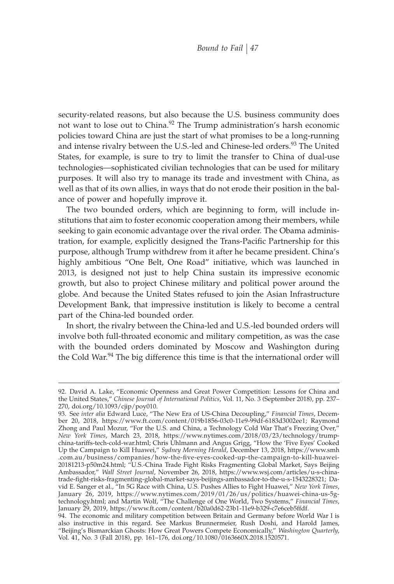security-related reasons, but also because the U.S. business community does not want to lose out to China.<sup>92</sup> The Trump administration's harsh economic policies toward China are just the start of what promises to be a long-running and intense rivalry between the U.S.-led and Chinese-led orders.<sup>93</sup> The United States, for example, is sure to try to limit the transfer to China of dual-use technologies—sophisticated civilian technologies that can be used for military purposes. It will also try to manage its trade and investment with China, as well as that of its own allies, in ways that do not erode their position in the balance of power and hopefully improve it.

The two bounded orders, which are beginning to form, will include institutions that aim to foster economic cooperation among their members, while seeking to gain economic advantage over the rival order. The Obama administration, for example, explicitly designed the Trans-Pacific Partnership for this purpose, although Trump withdrew from it after he became president. China's highly ambitious "One Belt, One Road" initiative, which was launched in 2013, is designed not just to help China sustain its impressive economic growth, but also to project Chinese military and political power around the globe. And because the United States refused to join the Asian Infrastructure Development Bank, that impressive institution is likely to become a central part of the China-led bounded order.

In short, the rivalry between the China-led and U.S.-led bounded orders will involve both full-throated economic and military competition, as was the case with the bounded orders dominated by Moscow and Washington during the Cold War.<sup>94</sup> The big difference this time is that the international order will

<sup>92.</sup> David A. Lake, "Economic Openness and Great Power Competition: Lessons for China and the United States," *Chinese Journal of International Politics*, Vol. 11, No. 3 (September 2018), pp. 237– 270, doi.org/10.1093/cjip/poy010.

<sup>93.</sup> See *inter alia* Edward Luce, "The New Era of US-China Decoupling," *Financial Times*, December 20, 2018, https://www.ft.com/content/019b1856-03c0-11e9-99df-6183d3002ee1; Raymond Zhong and Paul Mozur, "For the U.S. and China, a Technology Cold War That's Freezing Over," *New York Times*, March 23, 2018, https://www.nytimes.com/2018/03/23/technology/trumpchina-tariffs-tech-cold-war.html; Chris Uhlmann and Angus Grigg, "How the 'Five Eyes' Cooked Up the Campaign to Kill Huawei," *Sydney Morning Herald*, December 13, 2018, https://www.smh .com.au/business/companies/how-the-five-eyes-cooked-up-the-campaign-to-kill-huawei-20181213-p50m24.html; "U.S.-China Trade Fight Risks Fragmenting Global Market, Says Beijing Ambassador," *Wall Street Journal*, November 26, 2018, https://www.wsj.com/articles/u-s-chinatrade-fight-risks-fragmenting-global-market-says-beijings-ambassador-to-the-u-s-1543228321; David E. Sanger et al., "In 5G Race with China, U.S. Pushes Allies to Fight Huawei," *New York Times*, January 26, 2019, https://www.nytimes.com/2019/01/26/us/politics/huawei-china-us-5gtechnology.html; and Martin Wolf, "The Challenge of One World, Two Systems," *Financial Times*, January 29, 2019, https://www.ft.com/content/b20a0d62-23b1-11e9-b329-c7e6ceb5ffdf.

<sup>94.</sup> The economic and military competition between Britain and Germany before World War I is also instructive in this regard. See Markus Brunnermeier, Rush Doshi, and Harold James, "Beijing's Bismarckian Ghosts: How Great Powers Compete Economically," *Washington Quarterly*, Vol. 41, No. 3 (Fall 2018), pp. 161–176, doi.org/10.1080/0163660X.2018.1520571.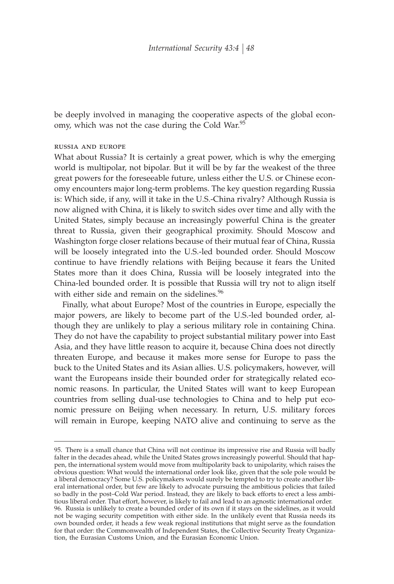be deeply involved in managing the cooperative aspects of the global economy, which was not the case during the Cold War.<sup>95</sup>

#### russia and europe

What about Russia? It is certainly a great power, which is why the emerging world is multipolar, not bipolar. But it will be by far the weakest of the three great powers for the foreseeable future, unless either the U.S. or Chinese economy encounters major long-term problems. The key question regarding Russia is: Which side, if any, will it take in the U.S.-China rivalry? Although Russia is now aligned with China, it is likely to switch sides over time and ally with the United States, simply because an increasingly powerful China is the greater threat to Russia, given their geographical proximity. Should Moscow and Washington forge closer relations because of their mutual fear of China, Russia will be loosely integrated into the U.S.-led bounded order. Should Moscow continue to have friendly relations with Beijing because it fears the United States more than it does China, Russia will be loosely integrated into the China-led bounded order. It is possible that Russia will try not to align itself with either side and remain on the sidelines.<sup>96</sup>

Finally, what about Europe? Most of the countries in Europe, especially the major powers, are likely to become part of the U.S.-led bounded order, although they are unlikely to play a serious military role in containing China. They do not have the capability to project substantial military power into East Asia, and they have little reason to acquire it, because China does not directly threaten Europe, and because it makes more sense for Europe to pass the buck to the United States and its Asian allies. U.S. policymakers, however, will want the Europeans inside their bounded order for strategically related economic reasons. In particular, the United States will want to keep European countries from selling dual-use technologies to China and to help put economic pressure on Beijing when necessary. In return, U.S. military forces will remain in Europe, keeping NATO alive and continuing to serve as the

<sup>95.</sup> There is a small chance that China will not continue its impressive rise and Russia will badly falter in the decades ahead, while the United States grows increasingly powerful. Should that happen, the international system would move from multipolarity back to unipolarity, which raises the obvious question: What would the international order look like, given that the sole pole would be a liberal democracy? Some U.S. policymakers would surely be tempted to try to create another liberal international order, but few are likely to advocate pursuing the ambitious policies that failed so badly in the post–Cold War period. Instead, they are likely to back efforts to erect a less ambitious liberal order. That effort, however, is likely to fail and lead to an agnostic international order. 96. Russia is unlikely to create a bounded order of its own if it stays on the sidelines, as it would not be waging security competition with either side. In the unlikely event that Russia needs its own bounded order, it heads a few weak regional institutions that might serve as the foundation for that order: the Commonwealth of Independent States, the Collective Security Treaty Organization, the Eurasian Customs Union, and the Eurasian Economic Union.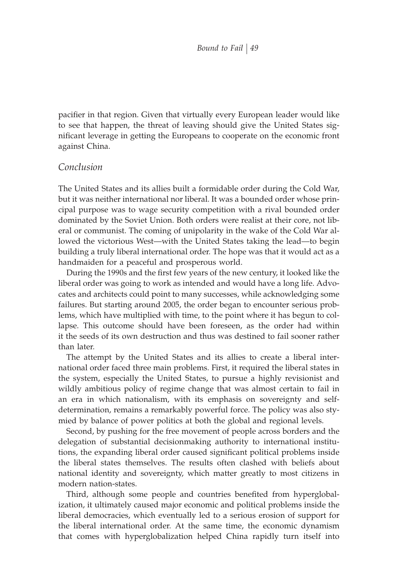pacifier in that region. Given that virtually every European leader would like to see that happen, the threat of leaving should give the United States significant leverage in getting the Europeans to cooperate on the economic front against China.

# *Conclusion*

The United States and its allies built a formidable order during the Cold War, but it was neither international nor liberal. It was a bounded order whose principal purpose was to wage security competition with a rival bounded order dominated by the Soviet Union. Both orders were realist at their core, not liberal or communist. The coming of unipolarity in the wake of the Cold War allowed the victorious West—with the United States taking the lead—to begin building a truly liberal international order. The hope was that it would act as a handmaiden for a peaceful and prosperous world.

During the 1990s and the first few years of the new century, it looked like the liberal order was going to work as intended and would have a long life. Advocates and architects could point to many successes, while acknowledging some failures. But starting around 2005, the order began to encounter serious problems, which have multiplied with time, to the point where it has begun to collapse. This outcome should have been foreseen, as the order had within it the seeds of its own destruction and thus was destined to fail sooner rather than later.

The attempt by the United States and its allies to create a liberal international order faced three main problems. First, it required the liberal states in the system, especially the United States, to pursue a highly revisionist and wildly ambitious policy of regime change that was almost certain to fail in an era in which nationalism, with its emphasis on sovereignty and selfdetermination, remains a remarkably powerful force. The policy was also stymied by balance of power politics at both the global and regional levels.

Second, by pushing for the free movement of people across borders and the delegation of substantial decisionmaking authority to international institutions, the expanding liberal order caused significant political problems inside the liberal states themselves. The results often clashed with beliefs about national identity and sovereignty, which matter greatly to most citizens in modern nation-states.

Third, although some people and countries benefited from hyperglobalization, it ultimately caused major economic and political problems inside the liberal democracies, which eventually led to a serious erosion of support for the liberal international order. At the same time, the economic dynamism that comes with hyperglobalization helped China rapidly turn itself into